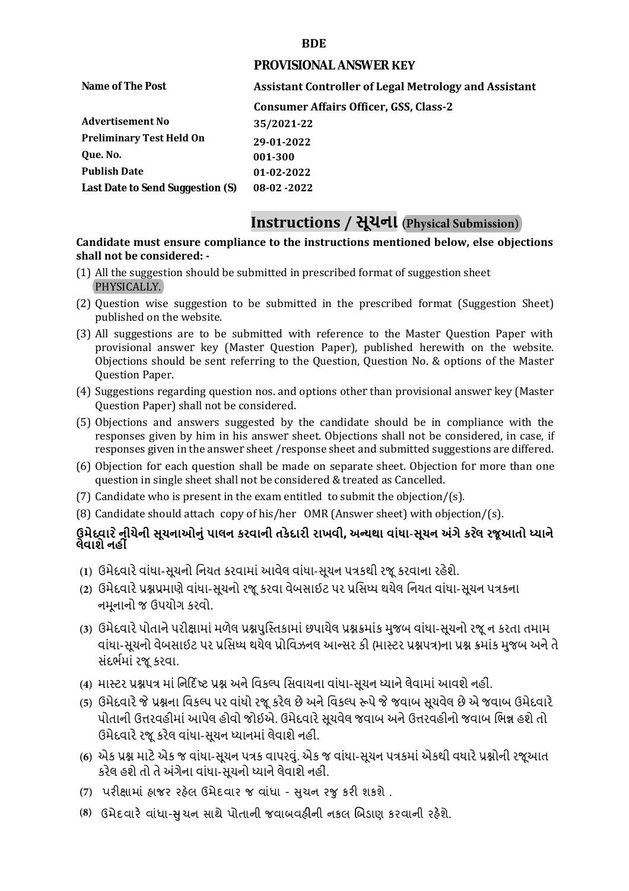### **BDE**

#### **PROVISIONAL ANSWER KEY**

**Name of The Post Assistant Controller of Legal Metrology and Assistant Consumer Affairs Officer, GSS, Class-2 Advertisement No Preliminary Test Held On Que. No. Publish Date Last Date to Send Suggestion (S) 35/2021-22 29-01-2022 001-300 01-02-2022 08-02 -2022**

# **Instructions / સૂચના (Physical Submission)**

### **shall not be considered: - Candidate must ensure compliance to the instructions mentioned below, else objections**

- (1) All the suggestion should be submitted in prescribed format of suggestion sheet PHYSICALLY.
- (2) Question wise suggestion to be submitted in the prescribed format (Suggestion Sheet) published on the website.
- (3) All suggestions are to be submitted with reference to the Master Question Paper with provisional answer key (Master Question Paper), published herewith on the website. Objections should be sent referring to the Question, Question No. & options of the Master Question Paper.
- (4) Suggestions regarding question nos. and options other than provisional answer key (Master Question Paper) shall not be considered.
- (5) Objections and answers suggested by the candidate should be in compliance with the responses given by him in his answer sheet. Objections shall not be considered, in case, if responses given in the answer sheet /response sheet and submitted suggestions are differed.
- (6) Objection for each question shall be made on separate sheet. Objection for more than one question in single sheet shall not be considered & treated as Cancelled.
- (7) Candidate who is present in the exam entitled to submit the objection/(s).
- (8) Candidate should attach copy of his/her OMR (Answer sheet) with objection/(s).

## **ઉમેદવાર ેનીચેની સૂચનાઓનું પાલન કરવાની તકેદારી રાખવી, અլયથા વાંધા-સૂચન અંગેકરલે રજૂઆતો իયાને લેવાશેનહીં**

- **(1)** ઉમેદવારેવાંધા**-**સૂચનો િનયત કરવામાં આવેલ વાંધા-સૂચન પԋકથી રજૂ કરવાના રહેશે**.**
- **(2)** ઉમેદવારેԐՇԐમાણે વાંધા**-**સૂચનો રજૂકરવા વેબસાઈટ પર Ԑિસիધ થયેલ િનયત વાંધા-સૂચન પԋકના નમૂનાનો જ ઉપયોગ કરવો**.**
- **(3)** ઉમેદવારેપોતાનેપરીԟામાંમળેલ ԐՇપુિչતકામાંછપાયેલ ԐՇԃમાંક મુજબ વાંધા**-**સૂચનો રજૂન કરતા તમામ વાંધા**-**સૂચનો વેબસાઈટ પર Ԑિસիધ થયેલ Ԑોિવઝનલ આլસર કી **(**માչટર ԐՇપԋ**)**ના ԐՇ ԃમાંક મુજબ અનેતે સંદભӪમાં રજૂકરવા**.**
- **(4)** માչટર ԐՇપԋ માં િન�દ�ષ્ટ ԐՇ અનેિવકճપ િસવાયના વાંધા**-**સૂચન իયાનેલેવામાંઆવશેનહીં**.**
- **(5)** ઉમેદવારેજેԐՇના િવકճપ પર વાંધો રજૂકરેલ છેઅનેિવકճપ ԁપેજેજવાબ સૂચવેલ છેએ જવાબ ઉમેદવારે પોતાની ઉԱરવહીમાંઆપેલ હોવો જોઈએ**.** ઉમેદવારેસૂચવેલ જવાબ અનેઉԱરવહીનો જવાબ િભՂ હશેતો ઉમેદવારેરજૂ કરેલ વાંધા**-**સૂચન իયાનમાંલેવાશેનહીં**.**
- **(6)** એક ԐՇ માટેએક જ વાંધા**-**સૂચન પԋક વાપરવું**.** એક જ વાંધા**-**સૂચન પԋકમાંએકથી વધારેԐՇોની રજૂઆત કરેલ હશેતો તેઅંગેના વાંધા**-**સૂચનો իયાનેલેવાશેનહીં**.**
- (7) પરીક્ષામાં હાજર રહેલ ઉમેદવાર જ વાંધા સુચન રજુ કરી શકશે .
- **(8)** ઉમેદવાર**�** વાંધા-**�**ુચન સાથે પોતાની જવાબવહ**�**ની નકલ **�**બડાણ કરવાની રહ**�**શે.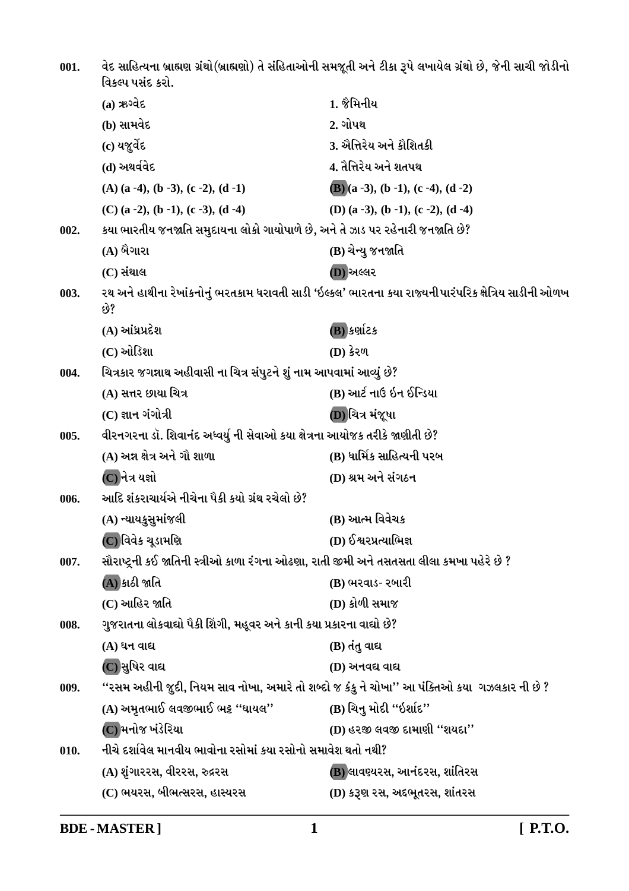વેદ સાહિત્યના બ્રાહ્મણ ગ્રંથો(બ્રાહ્મણો) તે સંહિતાઓની સમજૂતી અને ટીકા રૂપે લખાયેલ ગ્રંથો છે, જેની સાચી જોડીનો  $001.$ વિકલ્પ પસંદ કરો. 1. જૈમિનીય  $3698$   $(a)$ (b) સામવેદ  $2.$  ગોપથ $1$ 3. ઐત્તિરેય અને કૌશિતકી (c) યજર્વેદ 4. તૈત્તિરેય અને શતપથ (d) અથર્વવેદ  $(A)$  (a -4), (b -3), (c -2), (d -1)  $(B)(a-3), (b-1), (c-4), (d-2)$ (C)  $(a-2)$ ,  $(b-1)$ ,  $(c-3)$ ,  $(d-4)$ (D) (a-3), (b-1), (c-2), (d-4) કયા ભારતીય જનજાતિ સમુદાયના લોકો ગાયોપાળે છે, અને તે ઝાડ પર રહેનારી જનજાતિ છે?  $002.$ (A) બૈગારા (B) ચેન્યુ જનજાતિ  $(C)$  સંથાલ (D) અલ્લર રથ અને હાથીના રેખાંકનોનું ભરતકામ ધરાવતી સાડી 'ઇલ્કલ' ભારતના કયા રાજ્યનીપારંપરિક ક્ષેત્રિય સાડીની ઓળખ 003.  $698$  $(A)$  આંધ્રપ્રદેશ  $(B)$  કર્ણાટક (C) ઓડિશા **(D)** કેરળ ચિત્રકાર જગન્નાથ અહીવાસી ના ચિત્ર સંપુટને શું નામ આપવામાં આવ્યું છે? 004. (B) આર્ટ નાઉ ઇન ઈન્ડિયા (A) સત્તર છાયા ચિત્ર  $(C)$  જ્ઞાન ગંગોત્રી (D)ચિત્ર મંજૂષા વીરનગરના ડૉ. શિવાનંદ અધ્વર્યુ ની સેવાઓ કયા ક્ષેત્રના આયોજક તરીકે જાણીતી છે? 005. (B) ધાર્મિક સાહિત્યની પરબ (A) અન્ન ક્ષેત્ર અને ગૌ શાળા  $\overline {\bf (C)}$ નેત્ર યજ્ઞો (D) શ્રમ અને સંગઠન આદિ શંકરાચાર્યએ નીચેના પૈકી કયો ગ્રંથ રચેલો છે? 006. (A) ન્યાયકુસુમાંજલી (B) આત્મ વિવેચક (D) ઈશ્વરપ્રત્યાભિજ્ઞ (C) વિવેક ચૂડામણિ સૌરાષ્ટ્રની કઈ જાતિની સ્ત્રીઓ કાળા રંગના ઓઢણા, રાતી જીમી અને તસતસતા લીલા કમખા પહેરે છે ? 007. (A) કાઠી જાતિ (B) ભરવાડ- રબારી (C) આહિર જાતિ (D) કોળી સમાજ ગુજરાતના લોકવાઘો પૈકી શિંગી, મહૂવર અને કાની કયા પ્રકારના વાઘો છે? 008. (A) ધન વાદ્ય (B) તંતુ વાદ્ય (C)સુષિર વાદ્ય (D) અનવદ્ય વાદ્ય "રસમ અહીની જુદી, નિયમ સાવ નોખા, અમારે તો શબ્દો જ કંકુ ને ચોખા'' આ પંક્તિઓ કયા ગઝલકાર ની છે ? 009. (B) ચિનુ મોદી "ઇર્શાદ" (A) અમૃતભાઈ લવજીભાઈ ભટ્ટ "ઘાયલ" (C) મનોજ ખંડેરિયા (D) હરજી લવજી દામાણી "શયદા" નીચે દર્શાવેલ માનવીય ભાવોના રસોમાં કયા રસોનો સમાવેશ થતો નથી?  $010.$ (A) શંગારરસ, વીરરસ, રુદ્રરસ (B) લાવણ્યરસ, આનંદરસ, શાંતિરસ (C) ભયરસ, બીભત્સરસ, હાસ્યરસ (D) કરૂણ રસ, અદ્દભૂતરસ, શાંતરસ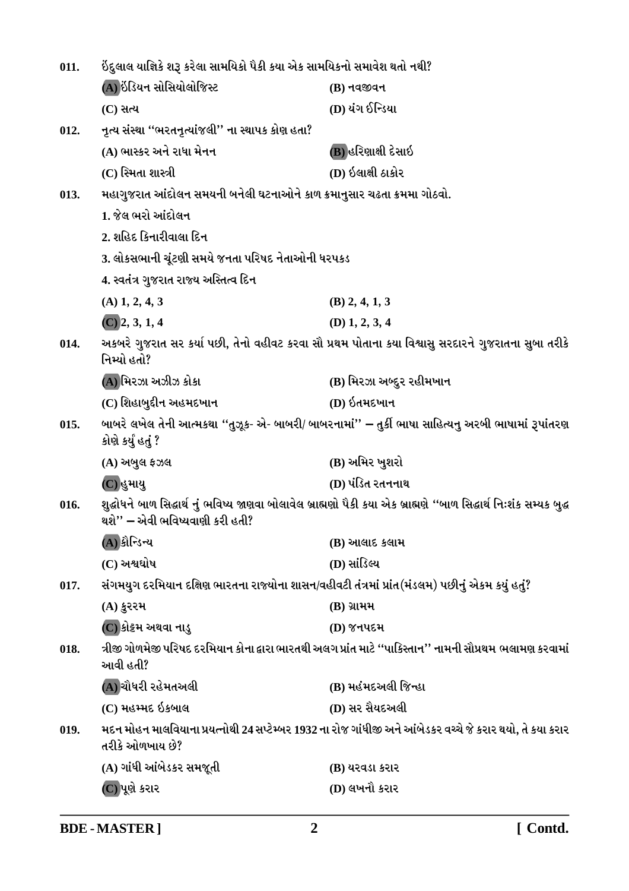| 011.                                                                                                                                                           | ઇંદુલાલ યાજ્ઞિકે શરૂ કરેલા સામયિકો પૈકી કયા એક સામયિકનો સમાવેશ થતો નથી?                         |                                                                                                           |
|----------------------------------------------------------------------------------------------------------------------------------------------------------------|-------------------------------------------------------------------------------------------------|-----------------------------------------------------------------------------------------------------------|
|                                                                                                                                                                | (A) ઇંડિયન સોસિયોલોજિસ્ટ                                                                        | $(B)$ નવજીવન                                                                                              |
|                                                                                                                                                                | $(C)$ સત્ય                                                                                      | (D) યંગ ઈન્ડિયા                                                                                           |
| 012.                                                                                                                                                           | નૃત્ય સંસ્થા ''ભરતનૃત્યાંજલી'' ના સ્થાપક કોણ હતા?                                               |                                                                                                           |
|                                                                                                                                                                | (A) ભાસ્કર અને રાધા મેનન                                                                        | (B) હરિણાક્ષી દેસાઇ                                                                                       |
|                                                                                                                                                                | (C) સ્મિતા શાસ્ત્રી                                                                             | (D) ઇલાક્ષી ઠાકોર                                                                                         |
| 013.                                                                                                                                                           | મહાગુજરાત આંદોલન સમયની બનેલી ઘટનાઓને કાળ ક્રમાનુસાર ચઢતા ક્રમમા ગોઠવો.                          |                                                                                                           |
|                                                                                                                                                                | 1. જેલ ભરો આંદોલન                                                                               |                                                                                                           |
|                                                                                                                                                                | 2. શહિદ કિનારીવાલા દિન                                                                          |                                                                                                           |
|                                                                                                                                                                | 3. લોકસભાની ચૂંટણી સમયે જનતા પરિષદ નેતાઓની ધરપકડ                                                |                                                                                                           |
|                                                                                                                                                                | 4. સ્વતંત્ર ગુજરાત રાજ્ય અસ્તિત્વ દિન                                                           |                                                                                                           |
|                                                                                                                                                                | $(A)$ 1, 2, 4, 3                                                                                | $(B)$ 2, 4, 1, 3                                                                                          |
|                                                                                                                                                                | $(C)$ 2, 3, 1, 4                                                                                | $(D)$ 1, 2, 3, 4                                                                                          |
| 014.                                                                                                                                                           | નિમ્યો હતો?                                                                                     | અકબરે ગુજરાત સર કર્યા પછી, તેનો વહીવટ કરવા સૌ પ્રથમ પોતાના કયા વિશ્વાસુ સરદારને ગુજરાતના સુબા તરીકે       |
|                                                                                                                                                                | (A) મિરઝા અઝીઝ કોકા                                                                             | (B) મિરઝા અબ્દુર રહીમખાન                                                                                  |
|                                                                                                                                                                | (C) શિહાબુદીન અહમદખાન                                                                           | (D) ઇતમદખાન                                                                                               |
| 015.                                                                                                                                                           | કોણે કર્યું હતું ?                                                                              | બાબરે લખેલ તેની આત્મકથા ''તુઝૂક- એ- બાબરી/ બાબરનામાં'' – તુર્કી ભાષા સાહિત્યનુ અરબી ભાષામાં રૂપાંતરણ      |
|                                                                                                                                                                | $(A)$ અબુલ ફઝલ                                                                                  | (B) અમિર ખુશરો                                                                                            |
|                                                                                                                                                                | (C)હુમાયુ                                                                                       | (D) પંડિત રતનનાથ                                                                                          |
| શુદ્ધોધને બાળ સિદ્ધાર્થ નું ભવિષ્ય જાણવા બોલાવેલ બ્રાહ્મણો પૈકી કયા એક બ્રાહ્મણે ''બાળ સિદ્ધાર્થ નિઃશંક સમ્યક બુદ્ધ<br>016.<br>થશે'' – એવી ભવિષ્યવાણી કરી હતી? |                                                                                                 |                                                                                                           |
|                                                                                                                                                                | (A) કૌન્ડિન્ય                                                                                   | (B) આલાદ કલામ                                                                                             |
|                                                                                                                                                                | $(C)$ અશ્વઘોષ                                                                                   | (D) સાંડિલ્ય                                                                                              |
| 017.                                                                                                                                                           | સંગમયુગ દરમિયાન દક્ષિણ ભારતના રાજ્યોના શાસન/વહીવટી તંત્રમાં પ્રાંત(મંડલમ) પછીનું એકમ કયું હતું? |                                                                                                           |
|                                                                                                                                                                | $(A)$ કુરરમ                                                                                     | $(B)$ ગ્રામમ                                                                                              |
|                                                                                                                                                                | (C) કોટ્ટમ અથવા નાડુ                                                                            | (D) જનપદમ                                                                                                 |
| 018.                                                                                                                                                           | આવી હતી?                                                                                        | ત્રીજી ગોળમેજી પરિષદ દરમિયાન કોના દ્વારા ભારતથી અલગ પ્રાંત માટે ''પાકિસ્તાન'' નામની સૌપ્રથમ ભલામણ કરવામાં |
|                                                                                                                                                                | (A) ચૌધરી રહેમતઅલી                                                                              | (B) મહંમદઅલી જિન્હા                                                                                       |
|                                                                                                                                                                | (C) મહમ્મદ ઇકબાલ                                                                                | (D) સર સૈયદઅલી                                                                                            |
| 019.                                                                                                                                                           | તરીકે ઓળખાય છે?                                                                                 | મદન મોહન માલવિયાના પ્રયત્નોથી 24 સપ્ટેમ્બર 1932 ના રોજ ગાંધીજી અને આંબેડકર વચ્ચે જે કરાર થયો, તે કયા કરાર |
|                                                                                                                                                                | (A) ગાંધી આંબેડકર સમજૂતી                                                                        | (B) યરવડા કરાર                                                                                            |
|                                                                                                                                                                | (C)પૂણે કરાર                                                                                    | (D) લખનૌ કરાર                                                                                             |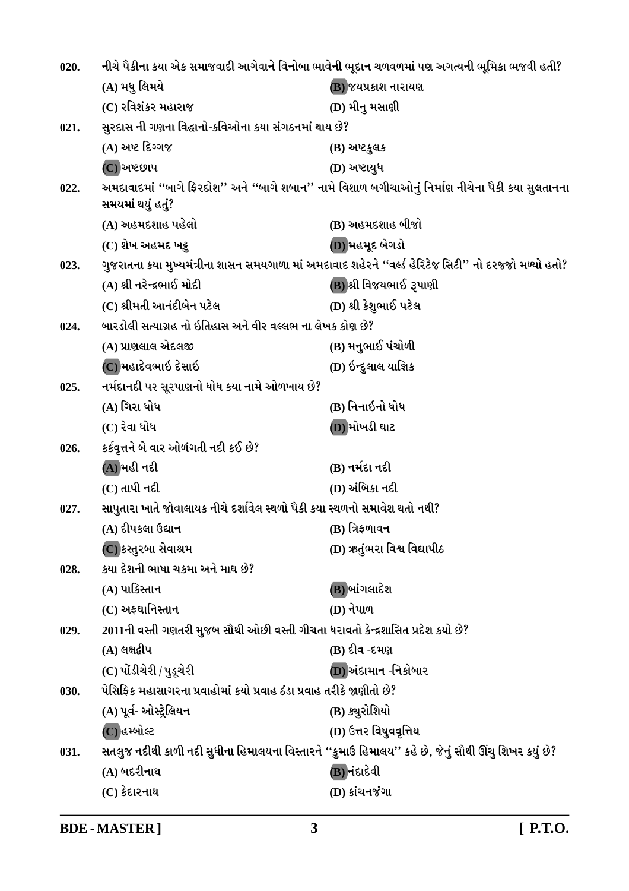| 020. | નીચે પૈકીના કયા એક સમાજવાદી આગેવાને વિનોબા ભાવેની ભૂદાન ચળવળમાં પણ અગત્યની ભૂમિકા ભજવી હતી? |                                                                                                         |
|------|---------------------------------------------------------------------------------------------|---------------------------------------------------------------------------------------------------------|
|      | (A) મધુ લિમયે                                                                               | (B) જયપ્રકાશ નારાયણ                                                                                     |
|      | (C) રવિશંકર મહારાજ                                                                          | (D) મીનુ મસાણી                                                                                          |
| 021. | સુરદાસ ની ગણના વિદ્ધાનો-કવિઓના કયા સંગઠનમાં થાય છે?                                         |                                                                                                         |
|      | (A) અષ્ટ દિગ્ગજ                                                                             | $(B)$ અષ્ટકુલક                                                                                          |
|      | (C) અષ્ટછાપ                                                                                 | (D) અષ્ટાયુધ                                                                                            |
| 022. | સમયમાં થયું હતું?                                                                           | અમદાવાદમાં ''બાગે ફિરદોશ'' અને ''બાગે શબાન'' નામે વિશાળ બગીચાઓનું નિર્માણ નીચેના પૈકી કયા સુલતાનના      |
|      | (A) અહમદશાહ પહેલો                                                                           | (B) અહમદશાહ બીજો                                                                                        |
|      | (C) શેખ અહમદ ખટ્ટ                                                                           | (D) મહમૂદ બેગડો                                                                                         |
| 023. |                                                                                             | ગુજરાતના કયા મુખ્યમંત્રીના શાસન સમયગાળા માં અમદાવાદ શહેરને ''વર્લ્ડ હેરિટેજ સિટી'' નો દરજ્જો મળ્યો હતો? |
|      | (A) શ્રી નરેન્દ્રભાઈ મોદી                                                                   | (B) શ્રી વિજયભાઈ રૂપાણી                                                                                 |
|      | (C) શ્રીમતી આનંદીબેન પટેલ                                                                   | (D) શ્રી કેશુભાઈ પટેલ                                                                                   |
| 024. | બારડોલી સત્યાગ્રહ નો ઇતિહાસ અને વીર વલ્લભ ના લેખક કોણ છે?                                   |                                                                                                         |
|      | (A) પ્રાણલાલ એદલજી                                                                          | (B) મનુભાઈ પંચોળી                                                                                       |
|      | (C) મહાદેવભાઇ દેસાઇ                                                                         | (D) ઇન્દુલાલ યાજ્ઞિક                                                                                    |
| 025. | નર્મદાનદી પર સૂરપાણનો ધોધ કયા નામે ઓળખાય છે?                                                |                                                                                                         |
|      | (A) ગિરા ધોધ                                                                                | (B) નિનાઇનો ધોધ                                                                                         |
|      | $(C)$ રેવા ધોધ                                                                              | (D) મોખડી ઘાટ                                                                                           |
| 026. | કર્કવૃત્તને બે વાર ઓળંગતી નદી કઈ છે?                                                        |                                                                                                         |
|      | (A)મહી નદી                                                                                  | (B) નર્મદા નદી                                                                                          |
|      | $(C)$ તાપી નદી                                                                              | (D) અંબિકા નદી                                                                                          |
| 027. | સાપુતારા ખાતે જોવાલાયક નીચે દર્શાવેલ સ્થળો પૈકી કયા સ્થળનો સમાવેશ થતો નથી?                  |                                                                                                         |
|      | (A) દીપકલા ઉદ્યાન                                                                           | $(B)$ ત્રિફળાવન                                                                                         |
|      | (C) કસ્તુરબા સેવાશ્રમ                                                                       | (D) ઋતુંભરા વિશ્વ વિદ્યાપીઠ                                                                             |
| 028. | કયા દેશની ભાષા ચકમા અને માઘ છે?                                                             |                                                                                                         |
|      | (A) પાકિસ્તાન                                                                               | (B) બાંગલાદેશ                                                                                           |
|      | (C) અફઘાનિસ્તાન                                                                             | (D) નેપાળ                                                                                               |
| 029. | 2011ની વસ્તી ગણતરી મુજબ સૌથી ઓછી વસ્તી ગીચતા ધરાવતો કેન્દ્રશાસિત પ્રદેશ કયો છે?             |                                                                                                         |
|      | $(A)$ લક્ષદ્વીપ                                                                             | (B) દીવ -દમણ                                                                                            |
|      | (C) પોંડીચેરી / પુડૂચેરી                                                                    | (D) અંદામાન -નિકોબાર                                                                                    |
| 030. | પેસિફિક મહાસાગરના પ્રવાહોમાં કયો પ્રવાહ ઠંડા પ્રવાહ તરીકે જાણીતો છે?                        |                                                                                                         |
|      | (A) પૂર્વ- ઓસ્ટ્રેલિયન                                                                      | (B) ક્યુરોશિયો                                                                                          |
|      | (C) હમ્બોલ્ટ                                                                                | (D) ઉત્તર વિષુવવૃત્તિય                                                                                  |
| 031. |                                                                                             | સતલુજ નદીથી કાળી નદી સુધીના હિમાલયના વિસ્તારને ''કુમાઉ હિમાલય'' કહે છે, જેનું સૌથી ઊંચુ શિખર કયું છે?   |
|      | $(A)$ બદરીનાથ                                                                               | (B)નંદાદેવી                                                                                             |
|      | (C) કેદારનાથ                                                                                | (D) કાંચનજંગા                                                                                           |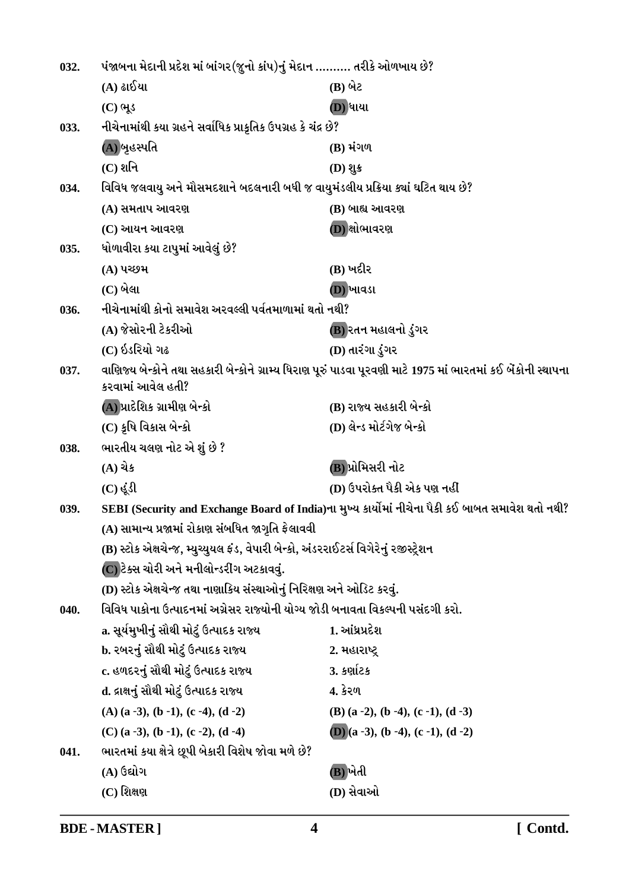| 032. | પંજાબના મેદાની પ્રદેશ માં બાંગર(જુનો કાંપ)નું મેદાન ………. તરીકે ઓળખાય છે?              |                                                                                                                |
|------|---------------------------------------------------------------------------------------|----------------------------------------------------------------------------------------------------------------|
|      | (A) ઢાઈયા                                                                             | (B) બેટ                                                                                                        |
|      | $(C)$ ભૂડ                                                                             | (D) ધાયા                                                                                                       |
| 033. | નીચેનામાંથી કયા ગ્રહને સર્વાધિક પ્રાકૃતિક ઉપગ્રહ કે ચંદ્ર છે?                         |                                                                                                                |
|      | (A))બૃહસ્પતિ                                                                          | (B) મંગળ                                                                                                       |
|      | $(C)$ શનિ                                                                             | $(D)$ શુક                                                                                                      |
| 034. | વિવિધ જલવાયુ અને મૌસમદશાને બદલનારી બધી જ વાયુમંડલીય પ્રક્રિયા ક્યાં ઘટિત થાય છે?      |                                                                                                                |
|      | (A) સમતાપ આવરણ                                                                        | (B) બાહ્ય આવરણ                                                                                                 |
|      | (C) આયન આવરણ                                                                          | (D) ક્ષોભાવરણ                                                                                                  |
| 035. | ધોળાવીરા કયા ટાપુમાં આવેલું છે?                                                       |                                                                                                                |
|      | (A) પચ્છમ                                                                             | (B) ખદીર                                                                                                       |
|      | $(C)$ બેલા                                                                            | (D) ખાવડા                                                                                                      |
| 036. | નીચેનામાંથી કોનો સમાવેશ અરવલ્લી પર્વતમાળામાં થતો નથી?                                 |                                                                                                                |
|      | (A) જેસોરની ટેકરીઓ                                                                    | (B) રતન મહાલનો ડુંગર                                                                                           |
|      | (C) ઇડરિયો ગઢ                                                                         | (D) તારંગા ડુંગર                                                                                               |
| 037. | કરવામાં આવેલ હતી?                                                                     | વાણિજ્ય બેન્કોને તથા સહકારી બેન્કોને ગ્રામ્ય ધિરાણ પૂરું પાડવા પૂરવણી માટે 1975 માં ભારતમાં કઈ બેંકોની સ્થાપના |
|      | (A) પ્રાદેશિક ગ્રામીણ બેન્કો                                                          | (B) રાજ્ય સહકારી બેન્કો                                                                                        |
|      | (C) કૃષિ વિકાસ બેન્કો                                                                 | (D) લેન્ડ મોર્ટગેજ બેન્કો                                                                                      |
| 038. | ભારતીય ચલણ નોટ એ શું છે ?                                                             |                                                                                                                |
|      | $(A)$ ચેક                                                                             | (B) પ્રોમિસરી નોટ                                                                                              |
|      | $(C)$ $\dot{\mathcal{S}}\Omega$                                                       | (D) ઉપરોક્ત પૈકી એક પણ નહીં                                                                                    |
| 039. |                                                                                       | SEBI (Security and Exchange Board of India)ના મુખ્ય કાર્યોમાં નીચેના પૈકી કઈ બાબત સમાવેશ થતો નથી?              |
|      | (A) સામાન્ય પ્રજામાં રોકાણ સંબધિત જાગૃતિ ફેલાવવી                                      |                                                                                                                |
|      | (B) સ્ટોક એક્ષચેન્જ, મ્યુચ્યુયલ ફંડ, વેપારી બેન્કો, અંડરરાઈટર્સ વિગેરેનું રજીસ્ટ્રેશન |                                                                                                                |
|      | (C) ટેક્સ ચોરી અને મનીલોન્ડરીંગ અટકાવવું.                                             |                                                                                                                |
|      | (D) સ્ટોક એક્ષચેન્જ તથા નાણાકિય સંસ્થાઓનું નિરિક્ષણ અને ઓડિટ કરવું.                   |                                                                                                                |
| 040. | વિવિધ પાકોના ઉત્પાદનમાં અગ્રેસર રાજ્યોની યોગ્ય જોડી બનાવતા વિકલ્પની પસંદગી કરો.       |                                                                                                                |
|      | a. સૂર્યમુખીનું સૌથી મોટું ઉત્પાદક રાજ્ય                                              | 1. આંધ્રપ્રદેશ                                                                                                 |
|      | b. રબરનું સૌથી મોટું ઉત્પાદક રાજ્ય                                                    | 2. મહારાષ્ટ્ર                                                                                                  |
|      | c. હળદરનું સૌથી મોટું ઉત્પાદક રાજ્ય                                                   | 3. કર્ણાટક                                                                                                     |
|      | d. દ્રાક્ષનું સૌથી મોટું ઉત્પાદક રાજ્ય                                                | 4. કેરળ                                                                                                        |
|      | $(A)$ (a -3), (b -1), (c -4), (d -2)                                                  | $(B)$ (a -2), (b -4), (c -1), (d -3)                                                                           |
|      | $(C)$ (a -3), (b -1), (c -2), (d -4)                                                  | (D) $(a - 3)$ , $(b - 4)$ , $(c - 1)$ , $(d - 2)$                                                              |
| 041. | ભારતમાં કયા ક્ષેત્રે છૂપી બેકારી વિશેષ જોવા મળે છે?                                   |                                                                                                                |
|      | (A) ઉદ્યોગ                                                                            | (B) ખેતી                                                                                                       |
|      | $(C)$ શિક્ષણ                                                                          | (D) સેવાઓ                                                                                                      |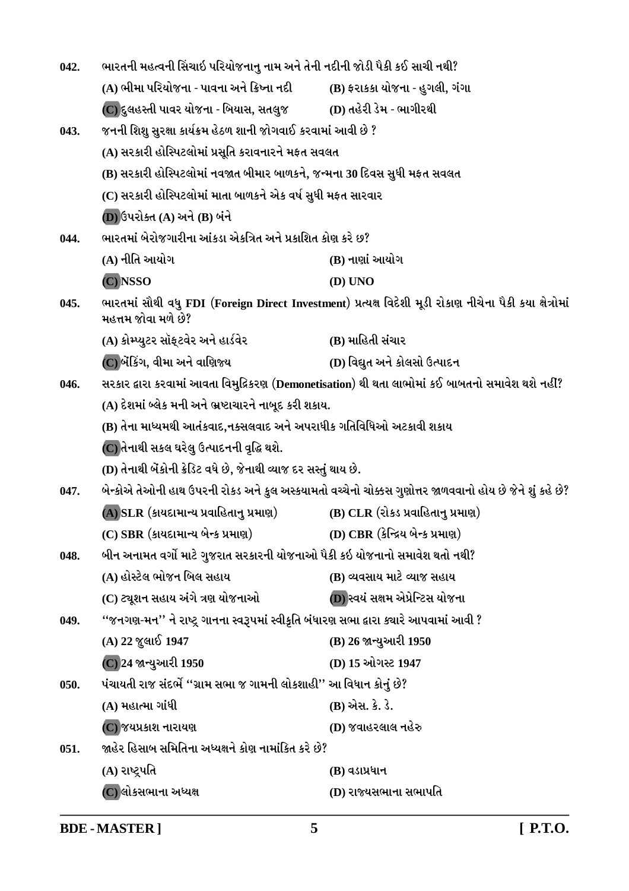| 042. | ભારતની મહત્વની સિંચાઇ પરિયોજનાનુ નામ અને તેની નદીની જોડી પૈકી કઈ સાચી નથી?             |                                                                                                          |
|------|----------------------------------------------------------------------------------------|----------------------------------------------------------------------------------------------------------|
|      | (A) ભીમા પરિયોજના - પાવના અને ક્રિષ્ના નદી                                             | (B) ફરાકકા યોજના - હુગલી, ગંગા                                                                           |
|      |                                                                                        |                                                                                                          |
| 043. | જનની શિશુ સુરક્ષા કાર્યક્રમ હેઠળ શાની જોગવાઈ કરવામાં આવી છે ?                          |                                                                                                          |
|      | (A) સરકારી હોસ્પિટલોમાં પ્રસૂતિ કરાવનારને મફત સવલત                                     |                                                                                                          |
|      | (B) સરકારી હોસ્પિટલોમાં નવજાત બીમાર બાળકને, જન્મના 30 દિવસ સુધી મફત સવલત               |                                                                                                          |
|      | (C) સરકારી હોસ્પિટલોમાં માતા બાળકને એક વર્ષ સુધી મફત સારવાર                            |                                                                                                          |
|      | (D) ઉપરોક્ત (A) અને (B) બંને                                                           |                                                                                                          |
| 044. | ભારતમાં બેરોજગારીના આંકડા એકત્રિત અને પ્રકાશિત કોણ કરે છ?                              |                                                                                                          |
|      | (A) નીતિ આયોગ                                                                          | (B) નાણાં આયોગ                                                                                           |
|      | (C) NSSO                                                                               | (D) UNO                                                                                                  |
| 045. | મહત્તમ જોવા મળે છે?                                                                    | ભારતમાં સૌથી વધુ FDI (Foreign Direct Investment) પ્રત્યક્ષ વિદેશી મૂડી રોકાણ નીચેના પૈકી કયા ક્ષેત્રોમાં |
|      | (A) કોમ્પ્યુટર સૉફ્ટવેર અને હાર્ડવેર                                                   | (B) માહિતી સંચાર                                                                                         |
|      | (C)બેંકિંગ, વીમા અને વાણિજ્ય                                                           | (D) વિદ્યુત અને કોલસો ઉત્પાદન                                                                            |
| 046. |                                                                                        | સરકાર દ્વારા કરવામાં આવતા વિમુદિકરણ (Demonetisation) થી થતા લાભોમાં કઈ બાબતનો સમાવેશ થશે નહીં?           |
|      | (A) દેશમાં બ્લેક મની અને ભ્રષ્ટાચારને નાબૂદ કરી શકાય.                                  |                                                                                                          |
|      | (B) તેના માધ્યમથી આતંકવાદ,નક્સલવાદ અને અપરાધીક ગતિવિધિઓ અટકાવી શકાય                    |                                                                                                          |
|      | (C) તેનાથી સકલ ઘરેલુ ઉત્પાદનની વૃદ્ધિ થશે.                                             |                                                                                                          |
|      | (D) તેનાથી બેંકોની ક્રેડિટ વધે છે, જેનાથી વ્યાજ દર સસ્તું થાય છે.                      |                                                                                                          |
| 047. |                                                                                        | બેન્કોએ તેઓની હાથ ઉપરની રોકડ અને કુલ અસ્કયામતો વચ્ચેનો ચોક્કસ ગુણોત્તર જાળવવાનો હોય છે જેને શું કહે છે?  |
|      | (A) SLR (કાયદામાન્ય પ્રવાહિતાનુ પ્રમાણ)                                                | (B) CLR (રોકડ પ્રવાહિતાનુ પ્રમાણ)                                                                        |
|      | $(C)$ SBR $(S)$ રાયદામાન્ય બેન્ક પ્રમાણ) $(D)$ CBR $(S)$ ન્દ્રિય બેન્ક પ્રમાણ)         |                                                                                                          |
| 048. | બીન અનામત વર્ગો માટે ગુજરાત સરકારની યોજનાઓ પૈકી કઇ યોજનાનો સમાવેશ થતો નથી?             |                                                                                                          |
|      | (A) હોસ્ટેલ ભોજન બિલ સહાય                                                              | (B) વ્યવસાય માટે વ્યાજ સહાય                                                                              |
|      | (C) ટ્યૂશન સહાય અંગે ત્રણ યોજનાઓ                                                       | (D) સ્વયં સક્ષમ એપ્રેન્ટિસ યોજના                                                                         |
| 049. | ''જનગણ-મન'' ને રાષ્ટ્ર ગાનના સ્વરૂપમાં સ્વીકૃતિ બંધારણ સભા દ્વારા ક્ચારે આપવામાં આવી ? |                                                                                                          |
|      | $(A)$ 22 જુલાઈ 1947                                                                    | (B) 26 જાન્યુઆરી 1950                                                                                    |
|      | (C) 24 જાન્યુઆરી 1950                                                                  | (D) 15 ઓગસ્ટ 1947                                                                                        |
| 050. | પંચાયતી રાજ સંદર્ભે ''ગ્રામ સભા જ ગામની લોકશાહી'' આ વિધાન કોનું છે?                    |                                                                                                          |
|      | (A) મહાત્મા ગાંધી                                                                      | (B) એસ. કે. ડે.                                                                                          |
|      | (C) જયપ્રકાશ નારાયણ                                                                    | (D) જવાહરલાલ નહેરુ                                                                                       |
| 051. | જાહેર હિસાબ સમિતિના અધ્યક્ષને કોણ નામાંકિત કરે છે?                                     |                                                                                                          |
|      | (A) રાષ્ટ્રપતિ                                                                         | $(B)$ વડાપ્રધાન                                                                                          |
|      | (C) લોકસભાના અધ્યક્ષ                                                                   | (D) રાજ્યસભાના સભાપતિ                                                                                    |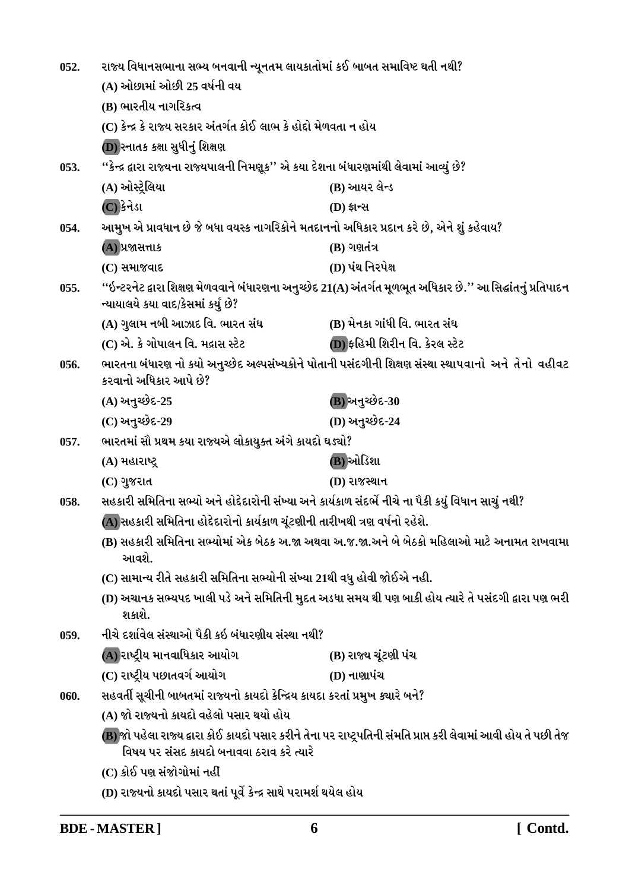| 052. | રાજ્ય વિધાનસભાના સભ્ય બનવાની ન્યૂનતમ લાયકાતોમાં કઈ બાબત સમાવિષ્ટ થતી નથી?                                                                                                            |                                                                                                                  |
|------|--------------------------------------------------------------------------------------------------------------------------------------------------------------------------------------|------------------------------------------------------------------------------------------------------------------|
|      | (A) ઓછામાં ઓછી 25 વર્ષની વય                                                                                                                                                          |                                                                                                                  |
|      | (B) ભારતીય નાગરિકત્વ                                                                                                                                                                 |                                                                                                                  |
|      | (C) કેન્દ્ર કે રાજ્ય સરકાર અંતર્ગત કોઈ લાભ કે હોદ્દો મેળવતા ન હોય                                                                                                                    |                                                                                                                  |
|      | (D) સ્નાતક કક્ષા સુધીનું શિક્ષણ                                                                                                                                                      |                                                                                                                  |
| 053. | ''કેન્દ્ર દ્વારા રાજ્યના રાજ્યપાલની નિમણૂક'' એ કયા દેશના બંધારણમાંથી લેવામાં આવ્યું છે?                                                                                              |                                                                                                                  |
|      | (A) ઓસ્ટ્રેલિયા                                                                                                                                                                      | (B) આયર લેન્ડ                                                                                                    |
|      | (C) કેનેડા                                                                                                                                                                           | (D) ईान्स                                                                                                        |
| 054. | આમુખ એ પ્રાવધાન છે જે બધા વયસ્ક નાગરિકોને મતદાનનો અધિકાર પ્રદાન કરે છે, એને શું કહેવાય?                                                                                              |                                                                                                                  |
|      | (A) પ્રજાસત્તાક                                                                                                                                                                      | $(B)$ ગણતંત્ર                                                                                                    |
|      | (C) સમાજવાદ                                                                                                                                                                          | (D) પંથ નિરપેક્ષ                                                                                                 |
| 055. | ન્યાયાલયે કયા વાદ/કેસમાં કર્યું છે?                                                                                                                                                  | ''ઇન્ટરનેટ દ્વારા શિક્ષણ મેળવવાને બંધારણના અનુચ્છેદ 21(A) અંતર્ગત મૂળભૂત અધિકાર છે.'' આ સિદ્ધાંતનું પ્રતિપાદન    |
|      | (A) ગુલામ નબી આઝાદ વિ. ભારત સંઘ                                                                                                                                                      | (B) મેનકા ગાંધી વિ. ભારત સંઘ                                                                                     |
|      | (C) એ. કે ગોપાલન વિ. મદ્રાસ સ્ટેટ                                                                                                                                                    | (D) ફહિમી શિરીન વિ. કેરલ સ્ટેટ                                                                                   |
| 056. | કરવાનો અધિકાર આપે છે?                                                                                                                                                                | ભારતના બંધારણ નો કયો અનુચ્છેદ અલ્પસંખ્યકોને પોતાની પસંદગીની શિક્ષણ સંસ્થા સ્થાપવાનો  અને  તેનો  વહીવટ            |
|      | (A) અનુચ્છેદ-25                                                                                                                                                                      | (B) અનુચ્છેદ-30                                                                                                  |
|      | (C) અનુચ્છેદ-29                                                                                                                                                                      | (D) અનુચ્છેદ-24                                                                                                  |
| 057. | ભારતમાં સૌ પ્રથમ કયા રાજ્યએ લોકાયુક્ત અંગે કાયદો ઘડ્યો?                                                                                                                              |                                                                                                                  |
|      | (A) મહારાષ્ટ્ર                                                                                                                                                                       | (B)ઓડિશા                                                                                                         |
|      | (C) ગુજરાત                                                                                                                                                                           | (D) રાજસ્થાન                                                                                                     |
| 058. | સહકારી સમિતિના સભ્યો અને હોદ્દેદારોની સંખ્યા અને કાર્યકાળ સંદર્ભે નીચે ના પૈકી કયું વિધાન સાચું નથી?                                                                                 |                                                                                                                  |
|      | (A) સહકારી સમિતિના હોદ્દેદારોનો કાર્યકાળ ચૂંટણીની તારીખથી ત્રણ વર્ષનો રહેશે.<br>(B) સહકારી સમિતિના સભ્યોમાં એક બેઠક અ.જા અથવા અ.જ.જા.અને બે બેઠકો મહિલાઓ માટે અનામત રાખવામા<br>આવશે. |                                                                                                                  |
|      |                                                                                                                                                                                      |                                                                                                                  |
|      | (C) સામાન્ય રીતે સહકારી સમિતિના સભ્યોની સંખ્યા 21થી વધુ હોવી જોઈએ નહી.                                                                                                               |                                                                                                                  |
|      | (D) અચાનક સભ્યપદ ખાલી પડે અને સમિતિની મુદત અડધા સમય થી પણ બાકી હોય ત્યારે તે પસંદગી દ્વારા પણ ભરી<br>શકાશે.                                                                          |                                                                                                                  |
| 059. | નીચે દર્શાવેલ સંસ્થાઓ પૈકી કઇ બંધારણીય સંસ્થા નથી?                                                                                                                                   |                                                                                                                  |
|      | (A) રાષ્ટ્રીય માનવાધિકાર આયોગ                                                                                                                                                        | (B) રાજ્ય ચૂંટણી પંચ                                                                                             |
|      | (C) રાષ્ટ્રીય પછાતવર્ગ આયોગ                                                                                                                                                          | $(D)$ નાણાપંચ                                                                                                    |
| 060. | સહવર્તી સૂચીની બાબતમાં રાજ્યનો કાયદો કેન્દ્રિય કાયદા કરતાં પ્રમુખ ક્ચારે બને?                                                                                                        |                                                                                                                  |
|      | (A) જો રાજ્યનો કાયદો વહેલો પસાર થયો હોય                                                                                                                                              |                                                                                                                  |
|      | વિષય પર સંસદ કાયદો બનાવવા ઠરાવ કરે ત્યારે                                                                                                                                            | (B) જો પહેલા રાજ્ય દ્વારા કોઈ કાયદો પસાર કરીને તેના પર રાષ્ટ્રપતિની સંમતિ પ્રાપ્ત કરી લેવામાં આવી હોય તે પછી તેજ |
|      | (C) કોઈ પણ સંજોગોમાં નહીં                                                                                                                                                            |                                                                                                                  |
|      |                                                                                                                                                                                      |                                                                                                                  |

(D) રાજ્યનો કાયદો પસાર થતાં પૂર્વે કેન્દ્ર સાથે પરામર્શ થયેલ હોય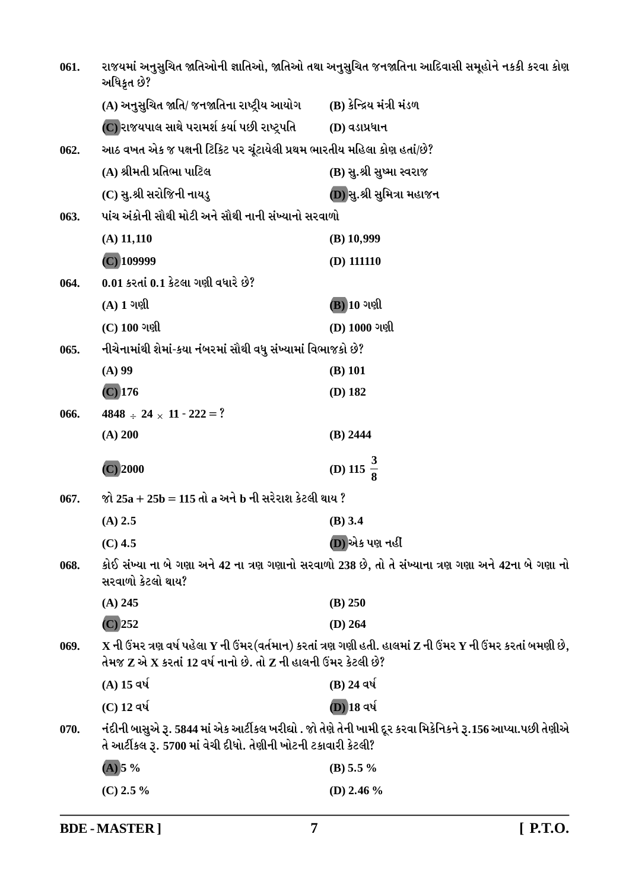| 061. | રાજયમાં અનુસુચિત જાતિઓની જ્ઞાતિઓ, જાતિઓ તથા અનુસુચિત જનજાતિના આદિવાસી સમૂહોને નકકી કરવા કોણ<br>અધિકૃત છે? |                                                                                                                                                    |
|------|-----------------------------------------------------------------------------------------------------------|----------------------------------------------------------------------------------------------------------------------------------------------------|
|      | (A) અનુસુચિત જાતિ/ જનજાતિના રાષ્ટ્રીય આયોગ         (B) કેન્દ્રિય મંત્રી મંડળ                              |                                                                                                                                                    |
|      | (C) રાજયપાલ સાથે પરામર્શ કર્યા પછી રાષ્ટ્રપતિ                                                             | (D) વડાપ્રધાન                                                                                                                                      |
| 062. | આઠ વખત એક જ પક્ષની ટિકિટ પર ચૂંટાયેલી પ્રથમ ભારતીય મહિલા કોણ હતાં/છે?                                     |                                                                                                                                                    |
|      | (A) શ્રીમતી પ્રતિભા પાટિલ                                                                                 | (B) સુ.શ્રી સુષ્મા સ્વરાજ                                                                                                                          |
|      | (C) સુ.શ્રી સરોજિની નાયડુ                                                                                 | (D) સુ.શ્રી સુમિત્રા મહાજન                                                                                                                         |
| 063. | પાંચ અંકોની સૌથી મોટી અને સૌથી નાની સંખ્યાનો સરવાળો                                                       |                                                                                                                                                    |
|      | $(A)$ 11,110                                                                                              | $(B)$ 10,999                                                                                                                                       |
|      | $(C)$ 109999                                                                                              | $(D)$ 111110                                                                                                                                       |
| 064. | $0.01$ કરતાં $0.1$ કેટલા ગણી વધારે છે?                                                                    |                                                                                                                                                    |
|      | $(A)$ 1 ગણી                                                                                               | $\overline{(\mathbf{B})}$ 10 ગણી                                                                                                                   |
|      | $(C)$ 100 ગણી                                                                                             | (D) 1000 ગણી                                                                                                                                       |
| 065. | નીચેનામાંથી શેમાં-કયા નંબરમાં સૌથી વધુ સંખ્યામાં વિભાજકો છે?                                              |                                                                                                                                                    |
|      | $(A)$ 99                                                                                                  | $(B)$ 101                                                                                                                                          |
|      | $(C)$ 176                                                                                                 | $(D)$ 182                                                                                                                                          |
| 066. | $4848 \div 24 \times 11 - 222 = ?$                                                                        |                                                                                                                                                    |
|      |                                                                                                           |                                                                                                                                                    |
|      | (A) 200                                                                                                   | $(B)$ 2444                                                                                                                                         |
|      | $(C)$ 2000                                                                                                | (D) 115 $\frac{3}{8}$                                                                                                                              |
| 067. | જો 25a + 25b = 115 તો a અને b ની સરેરાશ કેટલી થાય ?                                                       |                                                                                                                                                    |
|      | $(A)$ 2.5                                                                                                 | $(B)$ 3.4                                                                                                                                          |
|      | $(C)$ 4.5                                                                                                 | (D) એક પણ નહીં                                                                                                                                     |
| 068. | સરવાળો કેટલો થાય?                                                                                         | કોઈ સંખ્યા ના બે ગણા અને 42 ના ત્રણ ગણાનો સરવાળો 238 છે, તો તે સંખ્યાના ત્રણ ગણા અને 42ના બે ગણા નો                                                |
|      | $(A)$ 245                                                                                                 | (B) 250                                                                                                                                            |
|      | $(C)$ 252                                                                                                 | $(D)$ 264                                                                                                                                          |
| 069. | તેમજ $\mathbf z$ એ $\mathbf x$ કરતાં 12 વર્ષ નાનો છે. તો $\mathbf z$ ની હાલની ઉંમર કેટલી છે?              | $\mathbf X$ ની ઉંમર ત્રણ વર્ષ પહેલા $\mathbf Y$ ની ઉંમર(વર્તમાન) કરતાં ત્રણ ગણી હતી. હાલમાં $\mathbf Z$ ની ઉંમર $\mathbf Y$ ની ઉંમર કરતાં બમણી છે, |
|      | $(A)$ 15 વર્ષ                                                                                             | (B) 24 વર્ષ                                                                                                                                        |
|      | $(C)$ 12 વર્ષ                                                                                             | (D) 18 વર્ષ                                                                                                                                        |
| 070. | તે આર્ટીકલ રૂ. 5700 માં વેચી દીધો. તેણીની ખોટની ટકાવારી કેટલી?                                            | નંદીની બાસુએ રૂ. 5844 માં એક આર્ટીકલ ખરીદ્યો . જો તેણે તેની ખામી દૂર કરવા મિકેનિકને રૂ.156 આપ્યા.પછી તેણીએ                                         |
|      | $(A)$ 5 %                                                                                                 | (B) 5.5 $\%$                                                                                                                                       |

**BDE-MASTER**]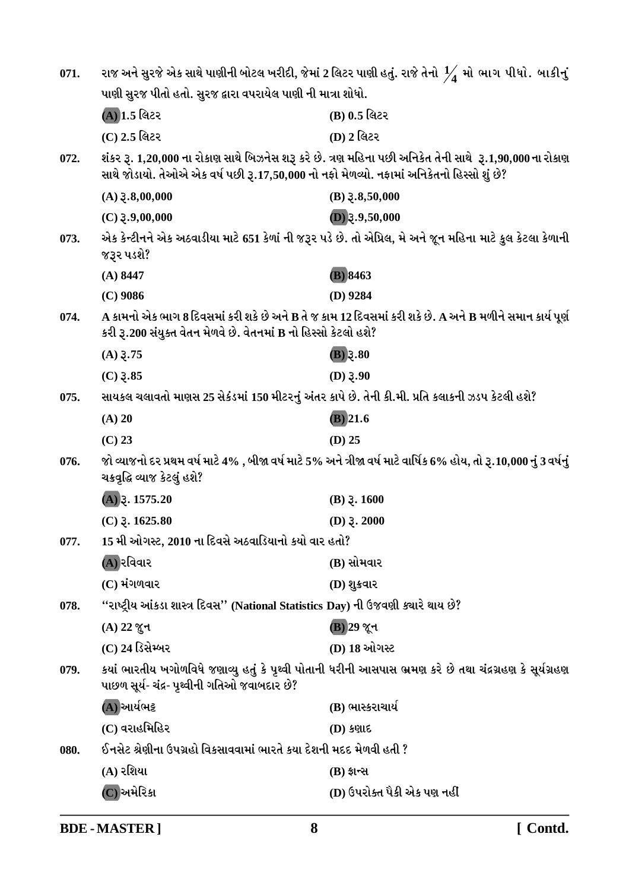| 071. | રાજ અને સુરજે એક સાથે પાણીની બોટલ ખરીદી, જેમાં 2 લિટર પાણી હતું. રાજે તેનો $\frac{1}{4}$ મો ભાગ પીધો․ બાકીનું           |                                                                                                                      |
|------|-------------------------------------------------------------------------------------------------------------------------|----------------------------------------------------------------------------------------------------------------------|
|      | પાણી સુરજ પીતો હતો. સુરજ દ્વારા વપરાયેલ પાણી ની માત્રા શોધો.                                                            |                                                                                                                      |
|      | (A) 1.5 લિટર                                                                                                            | (B) 0.5 લિટર                                                                                                         |
|      | (C) 2.5 લિટર                                                                                                            | (D) 2 લિટર                                                                                                           |
| 072. | સાથે જોડાયો. તેઓએ એક વર્ષ પછી રૂ.17,50,000 નો નફો મેળવ્યો. નફામાં અનિકેતનો હિસ્સો શું છે?                               | શંકર રૂ. 1,20,000 ના રોકાણ સાથે બિઝનેસ શરૂ કરે છે. ત્રણ મહિના પછી અનિકેત તેની સાથે ્ર.1,90,000 ના રોકાણ              |
|      | $(A)$ $\xi$ .8,00,000                                                                                                   | $(B)$ $\xi$ .8,50,000                                                                                                |
|      | $(C)$ 3.9,00,000                                                                                                        | $(D)$ 3.9,50,000                                                                                                     |
| 073. | એક કેન્ટીનને એક અઠવાડીયા માટે 651 કેળાં ની જરૂર પડે છે. તો એપ્રિલ, મે અને જૂન મહિના માટે કુલ કેટલા કેળાની<br>જરૂર પડશે? |                                                                                                                      |
|      | $(A)$ 8447                                                                                                              | (B) 8463                                                                                                             |
|      | $(C)$ 9086                                                                                                              | $(D)$ 9284                                                                                                           |
| 074. | કરી રૂ.200 સંયુક્ત વેતન મેળવે છે. વેતનમાં B નો હિસ્સો કેટલો હશે?                                                        | A કામનો એક ભાગ 8 દિવસમાં કરી શકે છે અને B તે જ કામ 12 દિવસમાં કરી શકે છે. A અને B મળીને સમાન કાર્ય પૂર્ણ             |
|      | $(A)$ 3.75                                                                                                              | $(B)$ 3.80                                                                                                           |
|      | $(C)$ 3.85                                                                                                              | $(D)$ 3.90                                                                                                           |
| 075. | સાયકલ ચલાવતો માણસ 25 સેકંડમાં 150 મીટરનું અંતર કાપે છે. તેની કી.મી. પ્રતિ કલાકની ઝડપ કેટલી હશે?                         |                                                                                                                      |
|      | $(A)$ 20                                                                                                                | $(B)$ 21.6                                                                                                           |
|      | $(C)$ 23                                                                                                                | $(D)$ 25                                                                                                             |
| 076. | ચક્રવૃદ્ધિ વ્યાજ કેટલું હશે?                                                                                            | જો વ્યાજનો દર પ્રથમ વર્ષ માટે 4% , બીજા વર્ષ માટે 5% અને ત્રીજા વર્ષ માટે વાર્ષિક 6% હોય, તો રૂ.10,000 નું 3 વર્ષનું |
|      | $(A)$ 3. 1575.20                                                                                                        | $(B)$ $\gtrsim$ 1600                                                                                                 |
|      | $(C)$ $\bar{z}$ . 1625.80                                                                                               | (D) $3.2000$                                                                                                         |
| 077. | 15 મી ઓગસ્ટ, 2010 ના દિવસે અઠવાડિયાનો કયો વાર હતો?                                                                      |                                                                                                                      |
|      | (A) રવિવાર                                                                                                              | (B) સોમવાર                                                                                                           |
|      | (C) મંગળવાર                                                                                                             | (D) શુક્રવાર                                                                                                         |
| 078. | "રાષ્ટ્રીય આંકડા શાસ્ત્ર દિવસ" (National Statistics Day) ની ઉજવણી ક્યારે થાય છે?                                        |                                                                                                                      |
|      | $(A)$ 22 જુન                                                                                                            | <b>B</b> ) 29 જૂન                                                                                                    |
|      | (C) 24 ડિસેમ્બર                                                                                                         | (D) 18 ઓગસ્ટ                                                                                                         |
| 079. | પાછળ સૂર્ય- ચંદ્ર- પૃથ્વીની ગતિઓ જવાબદાર છે?                                                                            | કયાં ભારતીય ખગોળવિધે જણાવ્યુ હતું કે પૃથ્વી પોતાની ધરીની આસપાસ ભ્રમણ કરે છે તથા ચંદ્રગ્રહણ કે સૂર્યગ્રહણ             |
|      | (A) આર્યભટ્ટ                                                                                                            | (B) ભાસ્કરાચાર્ય                                                                                                     |
|      | (C) વરાહમિહિર                                                                                                           | $(D)$ કણાદ                                                                                                           |
| 080. | ઈનસેટ શ્રેણીના ઉપગ્રહો વિકસાવવામાં ભારતે કયા દેશની મદદ મેળવી હતી ?                                                      |                                                                                                                      |
|      | (A) રશિયા                                                                                                               | $(B)$ ફ્રાન્સ                                                                                                        |
|      | (C)અમેરિકા                                                                                                              | (D) ઉપરોક્ત પૈકી એક પણ નહીં                                                                                          |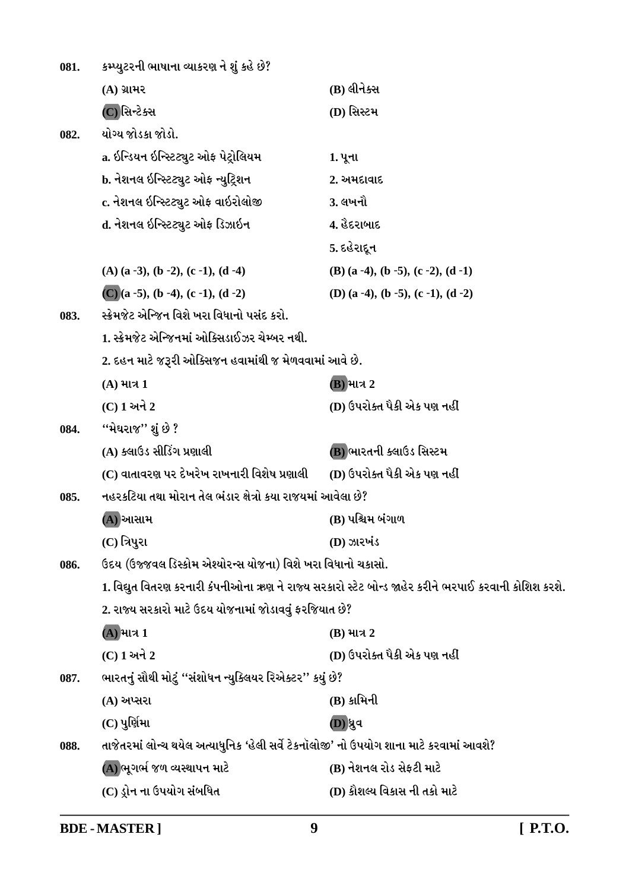| 081. | કમ્પ્યુટરની ભાષાના વ્યાકરણ ને શું કહે છે?                                               |                                                                                                      |
|------|-----------------------------------------------------------------------------------------|------------------------------------------------------------------------------------------------------|
|      | $(A)$ ગ્રામર                                                                            | (B) લીનેક્સ                                                                                          |
|      | (C)સિન્ટેક્સ                                                                            | (D) સિસ્ટમ                                                                                           |
| 082. | યોગ્ય જોડકા જોડો.                                                                       |                                                                                                      |
|      | a. ઇન્ડિયન ઇન્સ્ટિટ્યુટ ઓફ પેટ્રોલિયમ                                                   | 1. પૂના                                                                                              |
|      | b. નેશનલ ઇન્સ્ટિટ્યુટ ઓફ ન્યુટ્રિશન                                                     | 2. અમદાવાદ                                                                                           |
|      | c. નેશનલ ઇન્સ્ટિટ્યુટ ઓફ વાઇરોલોજી                                                      | 3. લખનૌ                                                                                              |
|      | d. નેશનલ ઇન્સ્ટિટ્યુટ ઓફ ડિઝાઇન                                                         | 4. હેદરાબાદ                                                                                          |
|      |                                                                                         | 5. દહેરાદૂન                                                                                          |
|      | $(A)$ (a -3), (b -2), (c -1), (d -4)                                                    | $(B)$ (a -4), (b -5), (c -2), (d -1)                                                                 |
|      | $(C)(a - 5)$ , $(b - 4)$ , $(c - 1)$ , $(d - 2)$                                        | (D) (a -4), (b -5), (c -1), (d -2)                                                                   |
| 083. | સ્ક્રેમજેટ એન્જિન વિશે ખરા વિધાનો પસંદ કરો.                                             |                                                                                                      |
|      | 1. સ્ક્રેમજેટ એન્જિનમાં ઓક્સિડાઈઝર ચેમ્બર નથી.                                          |                                                                                                      |
|      | 2. દહન માટે જરૂરી ઓક્સિજન હવામાંથી જ મેળવવામાં આવે છે.                                  |                                                                                                      |
|      | $(A)$ માત્ર 1                                                                           | (B) માત્ર 2                                                                                          |
|      | $(C)$ 1 અને 2                                                                           | (D) ઉપરોક્ત પૈકી એક પણ નહીં                                                                          |
| 084. | ''મેઘરાજ'' શું છે ?                                                                     |                                                                                                      |
|      | (A) ક્લાઉડ સીડિંગ પ્રણાલી                                                               | (B) ભારતની ક્લાઉડ સિસ્ટમ                                                                             |
|      | (C) વાતાવરણ પર દેખરેખ રાખનારી વિશેષ પ્રણાલી                                             | (D) ઉપરોક્ત પૈકી એક પણ નહીં                                                                          |
| 085. | નહરકટિયા તથા મોરાન તેલ ભંડાર ક્ષેત્રો કયા રાજયમાં આવેલા છે?                             |                                                                                                      |
|      | (A) આસામ                                                                                | (B) પશ્ચિમ બંગાળ                                                                                     |
|      | $(C)$ ત્રિપુરા                                                                          | (D) ઝારખંડ                                                                                           |
| 086. | ઉદય (ઉજ્જવલ ડિસ્કોમ એશ્યોરન્સ યોજના) વિશે ખરા વિધાનો ચકાસો.                             |                                                                                                      |
|      |                                                                                         | 1. વિદ્યુત વિતરણ કરનારી કંપનીઓના ઋણ ને રાજ્ય સરકારો સ્ટેટ બોન્ડ જાહેર કરીને ભરપાઈ કરવાની કોશિશ કરશે. |
|      | 2. રાજ્ય સરકારો માટે ઉદય યોજનામાં જોડાવવું ફરજિયાત છે?                                  |                                                                                                      |
|      | (A) માત્ર 1                                                                             | $(B)$ માત્ર 2                                                                                        |
|      | (C) 1 અને 2                                                                             | (D) ઉપરોક્ત પૈકી એક પણ નહીં                                                                          |
| 087. | ભારતનું સૌથી મોટું ''સંશોધન ન્યુક્લિયર રિએક્ટર'' કયું છે?                               |                                                                                                      |
|      | $(A)$ અપ્સરા                                                                            | $(B)$ કામિની                                                                                         |
|      | $(C)$ પુર્ણિમા                                                                          | (D)ધ્રુવ                                                                                             |
| 088. | તાજેતરમાં લોન્ચ થયેલ અત્યાધુનિક 'હેલી સર્વે ટેકનૉલોજી' નો ઉપયોગ શાના માટે કરવામાં આવશે? |                                                                                                      |
|      | (A) ભૂગર્ભ જળ વ્યસ્થાપન માટે                                                            | (B) નેશનલ રોડ સેફટી માટે                                                                             |
|      | (C) ડ્રોન ના ઉપયોગ સંબધિત                                                               | (D) કૌશલ્ય વિકાસ ની તકો માટે                                                                         |

**BDE-MASTER**]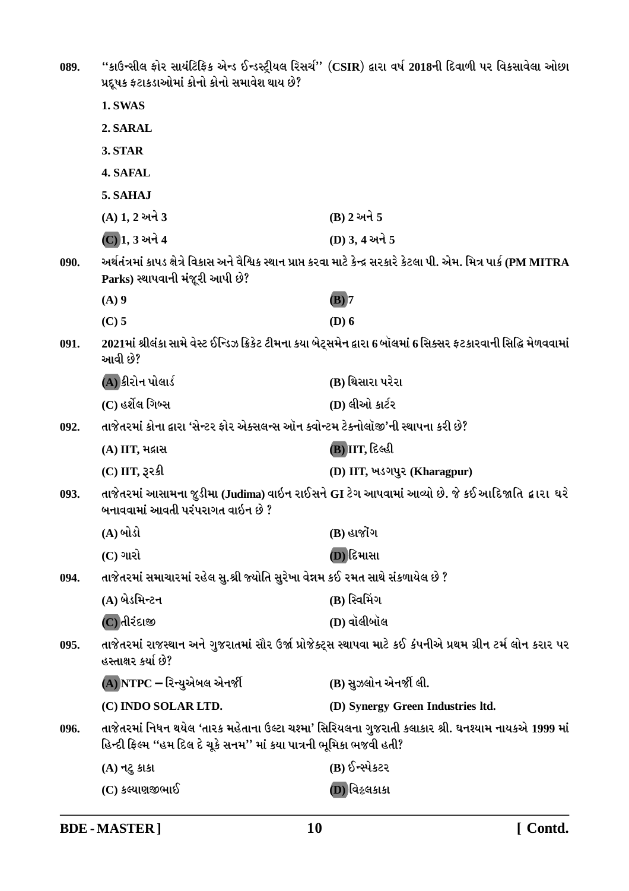| 089. | પ્રદૂષક ફટાકડાઓમાં કોનો કોનો સમાવેશ થાય છે?                                                                                                  | "કાઉન્સીલ ફોર સાયંટિફિક એન્ડ ઈન્ડસ્ટ્રીયલ રિસર્ચ" (CSIR) દ્વારા વર્ષ 2018ની દિવાળી પર વિકસાવેલા ઓછા                     |  |
|------|----------------------------------------------------------------------------------------------------------------------------------------------|-------------------------------------------------------------------------------------------------------------------------|--|
|      | 1. SWAS                                                                                                                                      |                                                                                                                         |  |
|      | 2. SARAL                                                                                                                                     |                                                                                                                         |  |
|      | 3. STAR                                                                                                                                      |                                                                                                                         |  |
|      | 4. SAFAL                                                                                                                                     |                                                                                                                         |  |
|      | 5. SAHAJ                                                                                                                                     |                                                                                                                         |  |
|      | $(A)$ 1, 2 અને 3                                                                                                                             | $(B)$ 2 અને 5                                                                                                           |  |
|      | (C) 1, 3 અને 4                                                                                                                               | (D) 3, 4 અને 5                                                                                                          |  |
| 090. | Parks) સ્થાપવાની મંજૂરી આપી છે?                                                                                                              | અર્થતંત્રમાં કાપડ ક્ષેત્રે વિકાસ અને વૈશ્વિક સ્થાન પ્રાપ્ત કરવા માટે કેન્દ્ર સરકારે કેટલા પી. એમ. મિત્ર પાર્ક (PM MITRA |  |
|      | $(A)$ 9                                                                                                                                      | $(B)$ 7                                                                                                                 |  |
|      | $(C)$ 5                                                                                                                                      | $(D)$ 6                                                                                                                 |  |
| 091. | 2021માં શ્રીલંકા સામે વેસ્ટ ઈન્ડિઝ ક્રિકેટ ટીમના કયા બેટ્સમેન દ્વારા 6 બૉલમાં 6 સિક્સર ફટકારવાની સિદ્ધિ મેળવવામાં<br>આવી છે?                 |                                                                                                                         |  |
|      | (A) કીરોન પોલાર્ડ                                                                                                                            | (B) થિસારા પરેરા                                                                                                        |  |
|      | (C) હર્શેલ ગિબ્સ                                                                                                                             | (D) લીઓ કાર્ટર                                                                                                          |  |
| 092. | તાજેતરમાં કોના દ્વારા 'સેન્ટર ફોર એક્સલન્સ ઑન ક્વોન્ટમ ટેક્નોલૉજી'ની સ્થાપના કરી છે?                                                         |                                                                                                                         |  |
|      | (A) IIT, મદ્રાસ                                                                                                                              | (B) IIT, દિલ્હી                                                                                                         |  |
|      | $(C)$ IIT, રૂરકી                                                                                                                             | (D) IIT, ખડગપુર (Kharagpur)                                                                                             |  |
| 093. | તાજેતરમાં આસામના જુડીમા (Judima) વાઇન રાઈસને GI ટેગ આપવામાં આવ્યો છે. જે કઈ આદિજાતિ <i>દ્વા</i> રા  ઘરે<br>બનાવવામાં આવતી પરંપરાગત વાઇન છે ? |                                                                                                                         |  |
|      | (A) બોડો                                                                                                                                     | $(B)$ હાજોંગ                                                                                                            |  |
|      | $(C)$ ગારો                                                                                                                                   | (D) દિમાસા                                                                                                              |  |
| 094. | તાજેતરમાં સમાચારમાં રહેલ સુ.શ્રી જ્યોતિ સુરેખા વેન્નમ કઈ રમત સાથે સંકળાયેલ છે ?                                                              |                                                                                                                         |  |
|      | (A) બેડમિન્ટન                                                                                                                                | (B) સ્વિમિંગ                                                                                                            |  |
|      | (C)તીરંદાજી                                                                                                                                  | (D) વૉલીબૉલ                                                                                                             |  |
| 095. | તાજેતરમાં રાજસ્થાન અને ગુજરાતમાં સૌર ઉર્જા પ્રોજેક્ટ્સ સ્થાપવા માટે કઈ કંપનીએ પ્રથમ ગ્રીન ટર્મ લોન કરાર પર<br>હસ્તાક્ષર કર્યા છે?            |                                                                                                                         |  |
|      | (A) NTPC – રિન્યુએબલ એનર્જી                                                                                                                  | (B) સુઝલોન એનર્જી લી.                                                                                                   |  |
|      | (C) INDO SOLAR LTD.                                                                                                                          | (D) Synergy Green Industries ltd.                                                                                       |  |
| 096. | હિન્દી ફિલ્મ ''હમ દિલ દે ચૂકે સનમ'' માં કયા પાત્રની ભૂમિકા ભજવી હતી?                                                                         | તાજેતરમાં નિધન થયેલ 'તારક મહેતાના ઉલ્ટા ચશ્મા' સિરિયલના ગુજરાતી કલાકાર શ્રી. ઘનશ્યામ નાયકએ 1999 માં                     |  |
|      | $(A)$ નટુ કાકા                                                                                                                               | (B) ઈન્સ્પેકટર                                                                                                          |  |
|      | (C) કલ્યાણજીભાઈ                                                                                                                              | <b>D</b> ) વિક્રલકાકા                                                                                                   |  |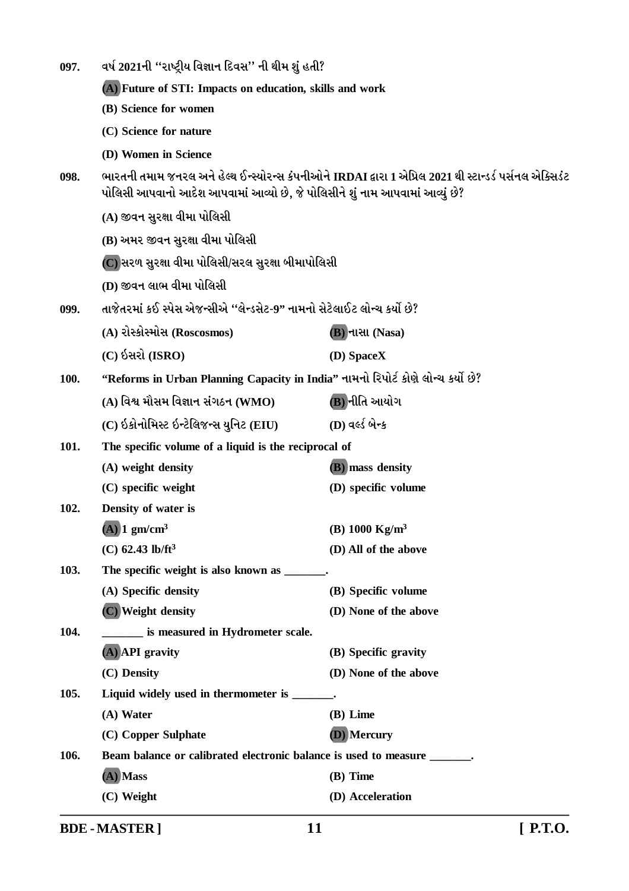| 097. | વર્ષ 2021ની ''રાષ્ટ્રીય વિજ્ઞાન દિવસ'' ની થીમ શું હતી?                                                                                                                                  |                           |
|------|-----------------------------------------------------------------------------------------------------------------------------------------------------------------------------------------|---------------------------|
|      | (A) Future of STI: Impacts on education, skills and work                                                                                                                                |                           |
|      | (B) Science for women                                                                                                                                                                   |                           |
|      | (C) Science for nature                                                                                                                                                                  |                           |
|      | (D) Women in Science                                                                                                                                                                    |                           |
| 098. | ભારતની તમામ જનરલ અને હેલ્થ ઈન્સ્યોરન્સ કંપનીઓને IRDAI દ્વારા 1 એપ્રિલ 2021 થી સ્ટાન્ડર્ડ પર્સનલ એક્સિડંટ<br>પોલિસી આપવાનો આદેશ આપવામાં આવ્યો છે, જે પોલિસીને શું નામ આપવામાં આવ્યું છે? |                           |
|      | (A) જીવન સુરક્ષા વીમા પોલિસી                                                                                                                                                            |                           |
|      | (B) અમર જીવન સુરક્ષા વીમા પોલિસી                                                                                                                                                        |                           |
|      | (C) સરળ સુરક્ષા વીમા પોલિસી/સરલ સુરક્ષા બીમાપોલિસી                                                                                                                                      |                           |
|      | (D) જીવન લાભ વીમા પોલિસી                                                                                                                                                                |                           |
| 099. | તાજેતરમાં કઈ સ્પેસ એજન્સીએ ''લેન્ડસેટ-9'' નામનો સેટેલાઈટ લોન્ચ કર્યો છે?                                                                                                                |                           |
|      | (A) રોસ્કોસ્મોસ (Roscosmos)                                                                                                                                                             | <b>(B)</b> નાસા (Nasa)    |
|      | $(C)$ ઇસરો (ISRO)                                                                                                                                                                       | (D) SpaceX                |
| 100. | "Reforms in Urban Planning Capacity in India" નામનો રિપોર્ટ કોણે લોન્ચ કર્યો છે?                                                                                                        |                           |
|      | (A) વિશ્વ મૌસમ વિજ્ઞાન સંગઠન (WMO)                                                                                                                                                      | (B) નીતિ આયોગ             |
|      | (C) ઇકોનોમિસ્ટ ઇન્ટેલિજન્સ યુનિટ (EIU)                                                                                                                                                  | (D) વર્લ્ડ બેન્ક          |
| 101. | The specific volume of a liquid is the reciprocal of                                                                                                                                    |                           |
|      | (A) weight density                                                                                                                                                                      | (B) mass density          |
|      | (C) specific weight                                                                                                                                                                     | (D) specific volume       |
| 102. | Density of water is                                                                                                                                                                     |                           |
|      | $(A)$ 1 gm/cm <sup>3</sup>                                                                                                                                                              | (B) $1000 \text{ Kg/m}^3$ |
|      | (C) $62.43$ lb/ft <sup>3</sup>                                                                                                                                                          | (D) All of the above      |
| 103. | The specific weight is also known as _______.                                                                                                                                           |                           |
|      | (A) Specific density                                                                                                                                                                    | (B) Specific volume       |
|      | (C) Weight density                                                                                                                                                                      | (D) None of the above     |
| 104. | ____ is measured in Hydrometer scale.                                                                                                                                                   |                           |
|      | (A) API gravity                                                                                                                                                                         | (B) Specific gravity      |
|      | (C) Density                                                                                                                                                                             | (D) None of the above     |
| 105. | Liquid widely used in thermometer is ______.                                                                                                                                            |                           |
|      | (A) Water                                                                                                                                                                               | (B) Lime                  |
|      | (C) Copper Sulphate                                                                                                                                                                     | (D) Mercury               |
| 106. | Beam balance or calibrated electronic balance is used to measure ______.<br>(A) Mass                                                                                                    | (B) Time                  |
|      | (C) Weight                                                                                                                                                                              | (D) Acceleration          |
|      |                                                                                                                                                                                         |                           |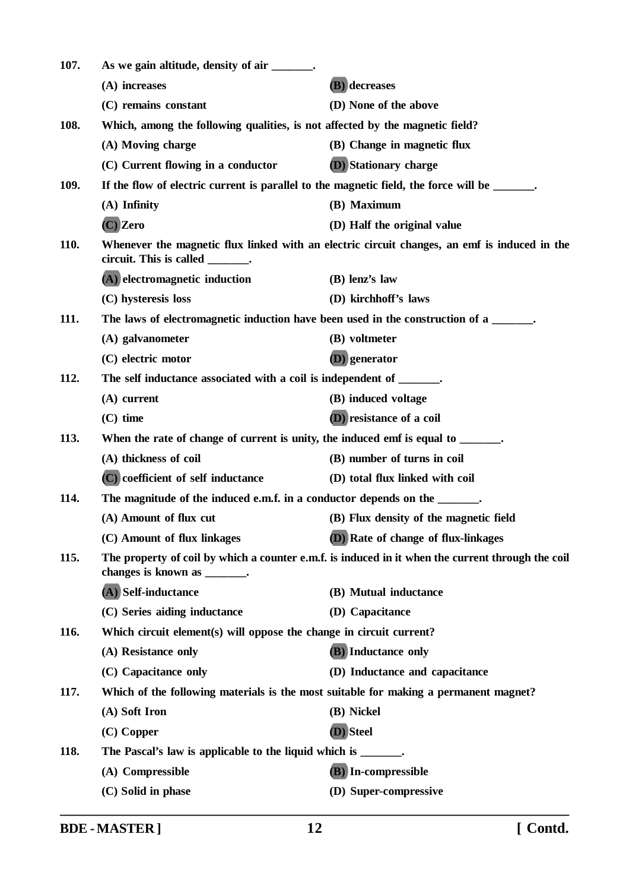| 107.        | As we gain altitude, density of air ______.                                                  |                                                                                                   |
|-------------|----------------------------------------------------------------------------------------------|---------------------------------------------------------------------------------------------------|
|             | (A) increases                                                                                | (B) decreases                                                                                     |
|             | (C) remains constant                                                                         | (D) None of the above                                                                             |
| 108.        | Which, among the following qualities, is not affected by the magnetic field?                 |                                                                                                   |
|             | (A) Moving charge                                                                            | (B) Change in magnetic flux                                                                       |
|             | (C) Current flowing in a conductor                                                           | (D) Stationary charge                                                                             |
| 109.        | If the flow of electric current is parallel to the magnetic field, the force will be ______. |                                                                                                   |
|             | $(A)$ Infinity                                                                               | (B) Maximum                                                                                       |
|             | $(C)$ Zero                                                                                   | (D) Half the original value                                                                       |
| <b>110.</b> | circuit. This is called _______.                                                             | Whenever the magnetic flux linked with an electric circuit changes, an emf is induced in the      |
|             | (A) electromagnetic induction                                                                | $(B)$ lenz's law                                                                                  |
|             | (C) hysteresis loss                                                                          | (D) kirchhoff's laws                                                                              |
| 111.        | The laws of electromagnetic induction have been used in the construction of a ______.        |                                                                                                   |
|             | (A) galvanometer                                                                             | (B) voltmeter                                                                                     |
|             | (C) electric motor                                                                           | (D) generator                                                                                     |
| 112.        | The self inductance associated with a coil is independent of ______.                         |                                                                                                   |
|             | $(A)$ current                                                                                | (B) induced voltage                                                                               |
|             | $(C)$ time                                                                                   | (D) resistance of a coil                                                                          |
| 113.        | When the rate of change of current is unity, the induced emf is equal to ______.             |                                                                                                   |
|             | (A) thickness of coil                                                                        | (B) number of turns in coil                                                                       |
|             | (C) coefficient of self inductance                                                           | (D) total flux linked with coil                                                                   |
| 114.        | The magnitude of the induced e.m.f. in a conductor depends on the ______.                    |                                                                                                   |
|             | (A) Amount of flux cut                                                                       | (B) Flux density of the magnetic field                                                            |
|             | (C) Amount of flux linkages                                                                  | (D) Rate of change of flux-linkages                                                               |
| 115.        | changes is known as _______.                                                                 | The property of coil by which a counter e.m.f. is induced in it when the current through the coil |
|             | (A) Self-inductance                                                                          | (B) Mutual inductance                                                                             |
|             | (C) Series aiding inductance                                                                 | (D) Capacitance                                                                                   |
| 116.        | Which circuit element(s) will oppose the change in circuit current?                          |                                                                                                   |
|             | (A) Resistance only                                                                          | <b>(B)</b> Inductance only                                                                        |
|             | (C) Capacitance only                                                                         | (D) Inductance and capacitance                                                                    |
| 117.        | Which of the following materials is the most suitable for making a permanent magnet?         |                                                                                                   |
|             | (A) Soft Iron                                                                                | (B) Nickel                                                                                        |
|             | $(C)$ Copper                                                                                 | (D) Steel                                                                                         |
| 118.        | The Pascal's law is applicable to the liquid which is _______.                               |                                                                                                   |
|             | (A) Compressible                                                                             | (B) In-compressible                                                                               |
|             | (C) Solid in phase                                                                           | (D) Super-compressive                                                                             |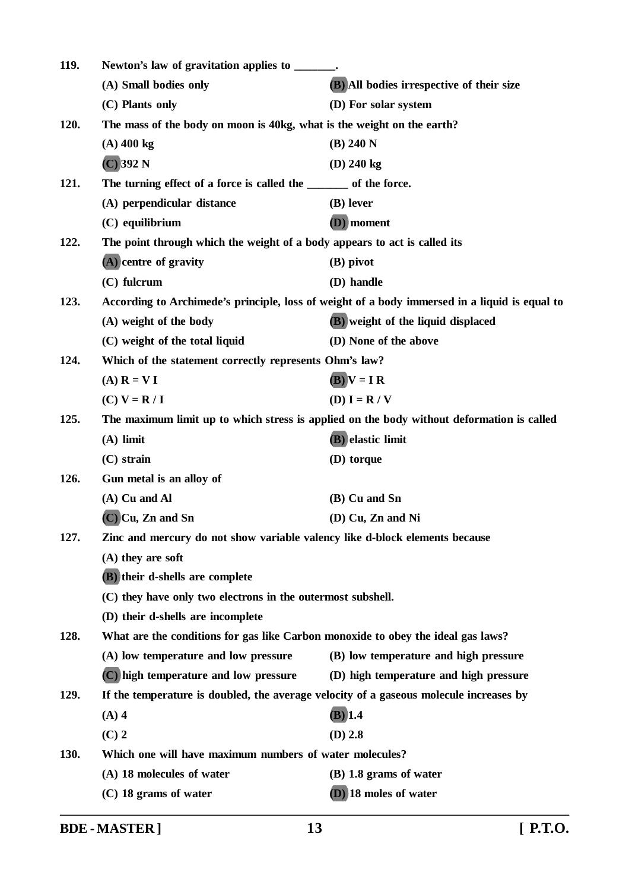| 119. | Newton's law of gravitation applies to _______.                                  |                                                                                               |
|------|----------------------------------------------------------------------------------|-----------------------------------------------------------------------------------------------|
|      | (A) Small bodies only                                                            | (B) All bodies irrespective of their size                                                     |
|      | (C) Plants only                                                                  | (D) For solar system                                                                          |
| 120. | The mass of the body on moon is 40kg, what is the weight on the earth?           |                                                                                               |
|      | $(A)$ 400 kg                                                                     | (B) 240 N                                                                                     |
|      | $(C)$ 392 N                                                                      | $(D)$ 240 kg                                                                                  |
| 121. | The turning effect of a force is called the _______ of the force.                |                                                                                               |
|      | (A) perpendicular distance                                                       | (B) lever                                                                                     |
|      | $(C)$ equilibrium                                                                | (D) moment                                                                                    |
| 122. | The point through which the weight of a body appears to act is called its        |                                                                                               |
|      | (A) centre of gravity                                                            | (B) pivot                                                                                     |
|      | $(C)$ fulcrum                                                                    | (D) handle                                                                                    |
| 123. |                                                                                  | According to Archimede's principle, loss of weight of a body immersed in a liquid is equal to |
|      | (A) weight of the body                                                           | (B) weight of the liquid displaced                                                            |
|      | (C) weight of the total liquid                                                   | (D) None of the above                                                                         |
| 124. | Which of the statement correctly represents Ohm's law?                           |                                                                                               |
|      | $(A)$ $R = VI$                                                                   | $(B)$ $V = I R$                                                                               |
|      | $(C) V = R / I$                                                                  | $(D) I = R / V$                                                                               |
| 125. |                                                                                  | The maximum limit up to which stress is applied on the body without deformation is called     |
|      | $(A)$ limit                                                                      | (B) elastic limit                                                                             |
|      | $(C)$ strain                                                                     | (D) torque                                                                                    |
| 126. | Gun metal is an alloy of                                                         |                                                                                               |
|      | $(A)$ Cu and Al                                                                  | (B) Cu and Sn                                                                                 |
|      | $(C)$ Cu, Zn and Sn                                                              | (D) Cu, Zn and Ni                                                                             |
| 127. | Zinc and mercury do not show variable valency like d-block elements because      |                                                                                               |
|      | $(A)$ they are soft                                                              |                                                                                               |
|      | (B) their d-shells are complete                                                  |                                                                                               |
|      | (C) they have only two electrons in the outermost subshell.                      |                                                                                               |
|      | (D) their d-shells are incomplete                                                |                                                                                               |
| 128. | What are the conditions for gas like Carbon monoxide to obey the ideal gas laws? |                                                                                               |
|      | (A) low temperature and low pressure                                             | (B) low temperature and high pressure                                                         |
|      | (C) high temperature and low pressure                                            | (D) high temperature and high pressure                                                        |
| 129. |                                                                                  | If the temperature is doubled, the average velocity of a gaseous molecule increases by        |
|      | $(A)$ 4                                                                          | $(B)$ 1.4                                                                                     |
|      | $(C)$ 2                                                                          | $(D)$ 2.8                                                                                     |
| 130. | Which one will have maximum numbers of water molecules?                          |                                                                                               |
|      | (A) 18 molecules of water                                                        | $(B)$ 1.8 grams of water                                                                      |
|      | $(C)$ 18 grams of water                                                          | (D) 18 moles of water                                                                         |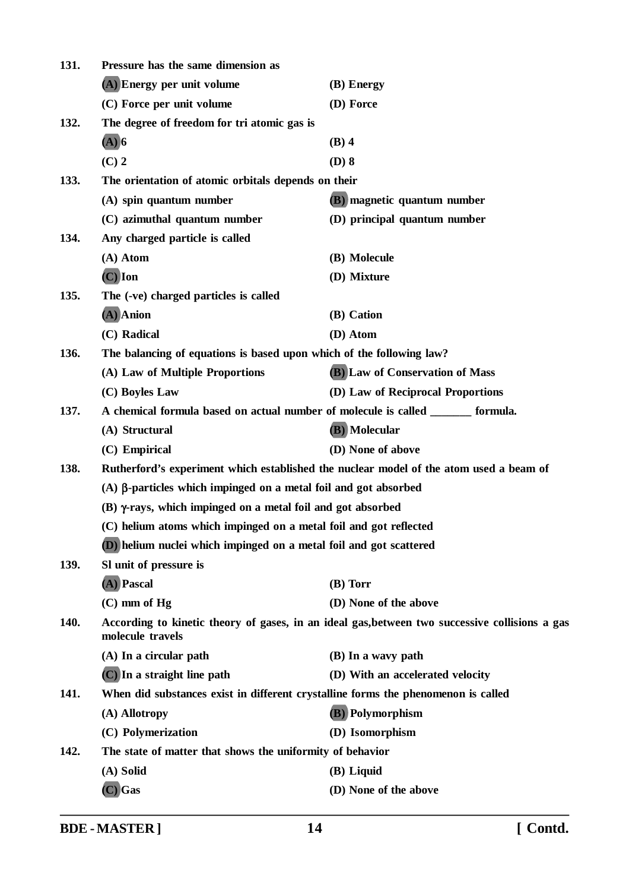| 131. | Pressure has the same dimension as                                                                                 |                                    |  |
|------|--------------------------------------------------------------------------------------------------------------------|------------------------------------|--|
|      | (A) Energy per unit volume                                                                                         | (B) Energy                         |  |
|      | (C) Force per unit volume                                                                                          | (D) Force                          |  |
| 132. | The degree of freedom for tri atomic gas is                                                                        |                                    |  |
|      | $(A)$ 6                                                                                                            | $(B)$ 4                            |  |
|      | $(C)$ 2                                                                                                            | $(D)$ 8                            |  |
| 133. | The orientation of atomic orbitals depends on their                                                                |                                    |  |
|      | (A) spin quantum number                                                                                            | <b>(B)</b> magnetic quantum number |  |
|      | (C) azimuthal quantum number                                                                                       | (D) principal quantum number       |  |
| 134. | Any charged particle is called                                                                                     |                                    |  |
|      | (A) Atom                                                                                                           | (B) Molecule                       |  |
|      | $(C)$ Ion                                                                                                          | (D) Mixture                        |  |
| 135. | The (-ve) charged particles is called                                                                              |                                    |  |
|      | $(A)$ Anion                                                                                                        | (B) Cation                         |  |
|      | (C) Radical                                                                                                        | (D) Atom                           |  |
| 136. | The balancing of equations is based upon which of the following law?                                               |                                    |  |
|      | (A) Law of Multiple Proportions                                                                                    | (B) Law of Conservation of Mass    |  |
|      | (C) Boyles Law                                                                                                     | (D) Law of Reciprocal Proportions  |  |
| 137. | A chemical formula based on actual number of molecule is called _______ formula.                                   |                                    |  |
|      | (A) Structural                                                                                                     | (B) Molecular                      |  |
|      | (C) Empirical                                                                                                      | (D) None of above                  |  |
| 138. | Rutherford's experiment which established the nuclear model of the atom used a beam of                             |                                    |  |
|      | $(A)$ $\beta$ -particles which impinged on a metal foil and got absorbed                                           |                                    |  |
|      | (B) γ-rays, which impinged on a metal foil and got absorbed                                                        |                                    |  |
|      | (C) helium atoms which impinged on a metal foil and got reflected                                                  |                                    |  |
|      | (D) helium nuclei which impinged on a metal foil and got scattered                                                 |                                    |  |
| 139. | SI unit of pressure is                                                                                             |                                    |  |
|      | (A) Pascal                                                                                                         | $(B)$ Torr                         |  |
|      | $(C)$ mm of Hg                                                                                                     | (D) None of the above              |  |
| 140. | According to kinetic theory of gases, in an ideal gas, between two successive collisions a gas<br>molecule travels |                                    |  |
|      | (A) In a circular path                                                                                             | (B) In a wavy path                 |  |
|      | (C) In a straight line path                                                                                        | (D) With an accelerated velocity   |  |
| 141. | When did substances exist in different crystalline forms the phenomenon is called                                  |                                    |  |
|      | (A) Allotropy                                                                                                      | <b>(B)</b> Polymorphism            |  |
|      | (C) Polymerization                                                                                                 | (D) Isomorphism                    |  |
| 142. | The state of matter that shows the uniformity of behavior                                                          |                                    |  |
|      | (A) Solid                                                                                                          | (B) Liquid                         |  |
|      | $(C)$ Gas                                                                                                          | (D) None of the above              |  |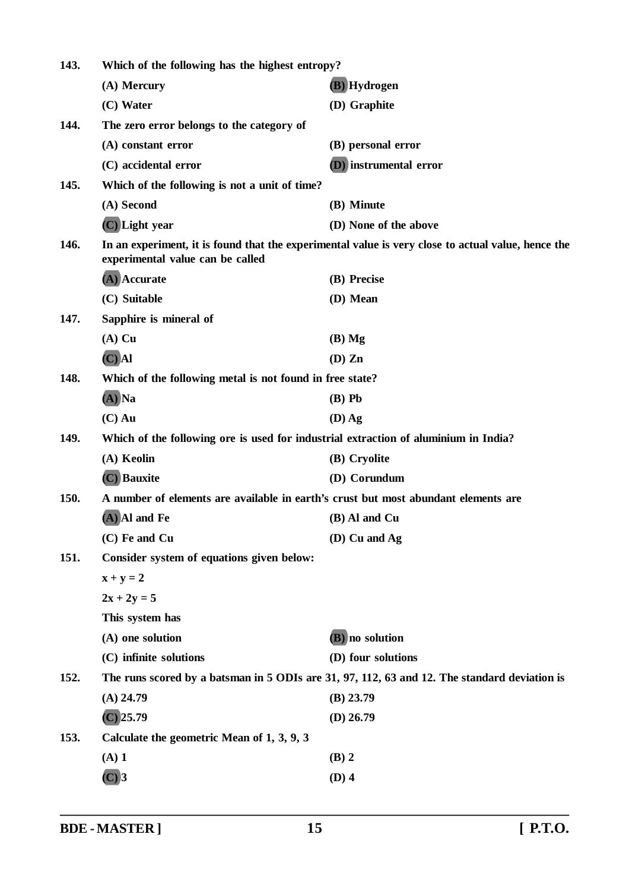| 143. | Which of the following has the highest entropy?                                     |                                                                                                    |  |
|------|-------------------------------------------------------------------------------------|----------------------------------------------------------------------------------------------------|--|
|      | (A) Mercury                                                                         | (B) Hydrogen                                                                                       |  |
|      | (C) Water                                                                           | (D) Graphite                                                                                       |  |
| 144. | The zero error belongs to the category of                                           |                                                                                                    |  |
|      | (A) constant error                                                                  | (B) personal error                                                                                 |  |
|      | (C) accidental error                                                                | (D) instrumental error                                                                             |  |
| 145. | Which of the following is not a unit of time?                                       |                                                                                                    |  |
|      | (A) Second                                                                          | (B) Minute                                                                                         |  |
|      | (C) Light year                                                                      | (D) None of the above                                                                              |  |
| 146. | experimental value can be called                                                    | In an experiment, it is found that the experimental value is very close to actual value, hence the |  |
|      | (A) Accurate                                                                        | (B) Precise                                                                                        |  |
|      | (C) Suitable                                                                        | (D) Mean                                                                                           |  |
| 147. | Sapphire is mineral of                                                              |                                                                                                    |  |
|      | $(A)$ Cu                                                                            | $(B)$ Mg                                                                                           |  |
|      | $(C)$ Al                                                                            | $(D)$ Zn                                                                                           |  |
| 148. | Which of the following metal is not found in free state?                            |                                                                                                    |  |
|      | $(A)$ Na                                                                            | $(B)$ Pb                                                                                           |  |
|      | $(C)$ Au                                                                            | $(D)$ Ag                                                                                           |  |
| 149. | Which of the following ore is used for industrial extraction of aluminium in India? |                                                                                                    |  |
|      | (A) Keolin                                                                          | (B) Cryolite                                                                                       |  |
|      | (C) Bauxite                                                                         | (D) Corundum                                                                                       |  |
| 150. | A number of elements are available in earth's crust but most abundant elements are  |                                                                                                    |  |
|      | (A) Al and Fe                                                                       | (B) Al and Cu                                                                                      |  |
|      | (C) Fe and Cu                                                                       | (D) Cu and Ag                                                                                      |  |
| 151. | Consider system of equations given below:                                           |                                                                                                    |  |
|      | $x + y = 2$                                                                         |                                                                                                    |  |
|      | $2x + 2y = 5$                                                                       |                                                                                                    |  |
|      | This system has                                                                     |                                                                                                    |  |
|      | (A) one solution                                                                    | (B) no solution                                                                                    |  |
|      | (C) infinite solutions                                                              | (D) four solutions                                                                                 |  |
| 152. |                                                                                     | The runs scored by a batsman in 5 ODIs are 31, 97, 112, 63 and 12. The standard deviation is       |  |
|      | $(A)$ 24.79                                                                         | $(B)$ 23.79                                                                                        |  |
|      | $(C)$ 25.79                                                                         | $(D)$ 26.79                                                                                        |  |
| 153. | Calculate the geometric Mean of 1, 3, 9, 3                                          |                                                                                                    |  |
|      | $(A)$ 1                                                                             | $(B)$ 2                                                                                            |  |
|      | $(C)$ 3                                                                             | $(D)$ 4                                                                                            |  |
|      |                                                                                     |                                                                                                    |  |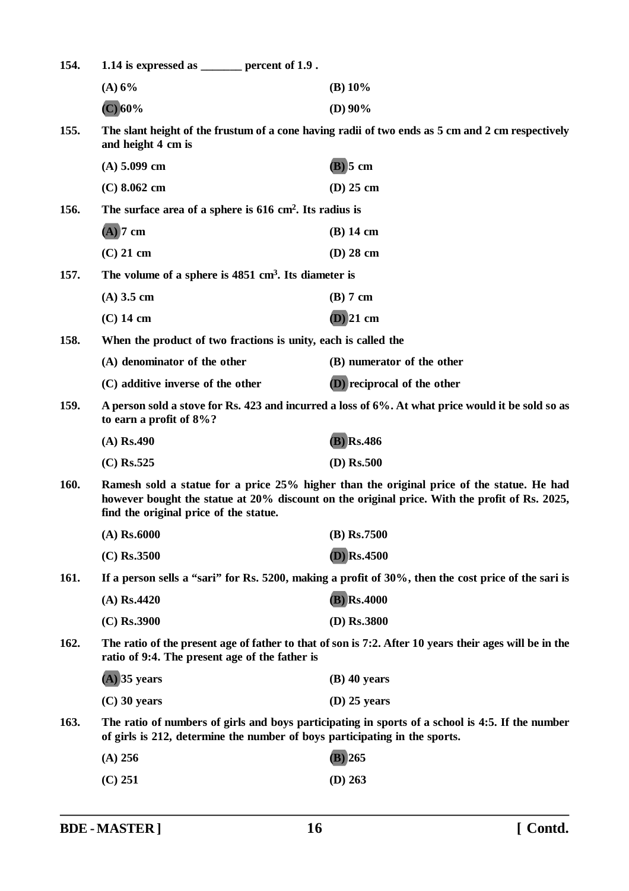| 154. | 1.14 is expressed as $\frac{1}{2}$ percent of 1.9.                                                                                                                                                                                   |                                                                                                     |  |
|------|--------------------------------------------------------------------------------------------------------------------------------------------------------------------------------------------------------------------------------------|-----------------------------------------------------------------------------------------------------|--|
|      | (A) 6%                                                                                                                                                                                                                               | (B) $10\%$                                                                                          |  |
|      | $(C)$ 60%                                                                                                                                                                                                                            | (D) $90\%$                                                                                          |  |
| 155. | and height 4 cm is                                                                                                                                                                                                                   | The slant height of the frustum of a cone having radii of two ends as 5 cm and 2 cm respectively    |  |
|      | $(A)$ 5.099 cm                                                                                                                                                                                                                       | $(B)$ 5 cm                                                                                          |  |
|      | $(C)$ 8.062 cm                                                                                                                                                                                                                       | $(D)$ 25 cm                                                                                         |  |
| 156. | The surface area of a sphere is $616 \text{ cm}^2$ . Its radius is                                                                                                                                                                   |                                                                                                     |  |
|      | $(A)$ 7 cm                                                                                                                                                                                                                           | $(B)$ 14 cm                                                                                         |  |
|      | $(C)$ 21 cm                                                                                                                                                                                                                          | $(D)$ 28 cm                                                                                         |  |
| 157. | The volume of a sphere is $4851 \text{ cm}^3$ . Its diameter is                                                                                                                                                                      |                                                                                                     |  |
|      | $(A)$ 3.5 cm                                                                                                                                                                                                                         | $(B)$ 7 cm                                                                                          |  |
|      | $(C)$ 14 cm                                                                                                                                                                                                                          | $(D)$ 21 cm                                                                                         |  |
| 158. | When the product of two fractions is unity, each is called the                                                                                                                                                                       |                                                                                                     |  |
|      | (A) denominator of the other                                                                                                                                                                                                         | (B) numerator of the other                                                                          |  |
|      | (C) additive inverse of the other                                                                                                                                                                                                    | (D) reciprocal of the other                                                                         |  |
| 159. | A person sold a stove for Rs. 423 and incurred a loss of 6%. At what price would it be sold so as<br>to earn a profit of $8\%$ ?                                                                                                     |                                                                                                     |  |
|      | $(A)$ Rs.490                                                                                                                                                                                                                         | $(B)$ Rs.486                                                                                        |  |
|      | $(C)$ Rs.525                                                                                                                                                                                                                         | $(D)$ Rs.500                                                                                        |  |
| 160. | Ramesh sold a statue for a price 25% higher than the original price of the statue. He had<br>however bought the statue at 20% discount on the original price. With the profit of Rs. 2025,<br>find the original price of the statue. |                                                                                                     |  |
|      | $(A)$ Rs.6000                                                                                                                                                                                                                        | $(B)$ Rs.7500                                                                                       |  |
|      | $(C)$ Rs.3500                                                                                                                                                                                                                        | $(D)$ <sub>Rs.4500</sub>                                                                            |  |
| 161. |                                                                                                                                                                                                                                      | If a person sells a "sari" for Rs. 5200, making a profit of 30%, then the cost price of the sari is |  |
|      | $(A)$ Rs.4420                                                                                                                                                                                                                        | $(B)$ Rs.4000                                                                                       |  |
|      | $(C)$ Rs.3900                                                                                                                                                                                                                        | (D) Rs.3800                                                                                         |  |
| 162. | The ratio of the present age of father to that of son is 7:2. After 10 years their ages will be in the<br>ratio of 9:4. The present age of the father is                                                                             |                                                                                                     |  |
|      | $(A)$ 35 years                                                                                                                                                                                                                       | $(B)$ 40 years                                                                                      |  |
|      | $(C)$ 30 years                                                                                                                                                                                                                       | $(D)$ 25 years                                                                                      |  |
| 163. | of girls is 212, determine the number of boys participating in the sports.                                                                                                                                                           | The ratio of numbers of girls and boys participating in sports of a school is 4:5. If the number    |  |
|      | $(A)$ 256                                                                                                                                                                                                                            | $(B)$ 265                                                                                           |  |
|      | $(C)$ 251                                                                                                                                                                                                                            | $(D)$ 263                                                                                           |  |
|      |                                                                                                                                                                                                                                      |                                                                                                     |  |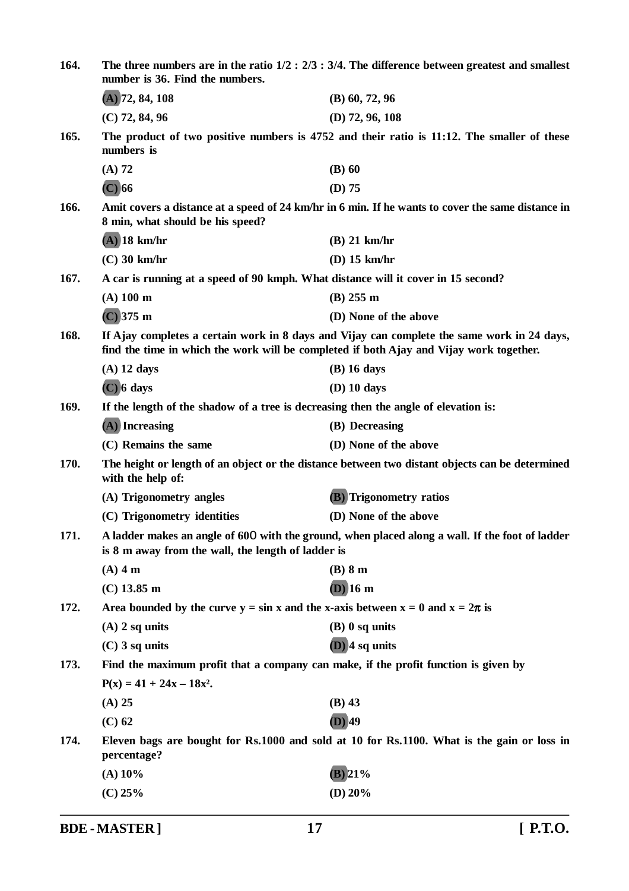| 164. | The three numbers are in the ratio $1/2$ : $2/3$ : $3/4$ . The difference between greatest and smallest<br>number is 36. Find the numbers. |                                                                                                   |
|------|--------------------------------------------------------------------------------------------------------------------------------------------|---------------------------------------------------------------------------------------------------|
|      | $(A)$ 72, 84, 108                                                                                                                          | $(B)$ 60, 72, 96                                                                                  |
|      | $(C)$ 72, 84, 96                                                                                                                           | $(D)$ 72, 96, 108                                                                                 |
| 165. | numbers is                                                                                                                                 | The product of two positive numbers is 4752 and their ratio is 11:12. The smaller of these        |
|      | $(A)$ 72                                                                                                                                   | $(B)$ 60                                                                                          |
|      | $(C)$ 66                                                                                                                                   | $(D)$ 75                                                                                          |
| 166. | 8 min, what should be his speed?                                                                                                           | Amit covers a distance at a speed of 24 km/hr in 6 min. If he wants to cover the same distance in |
|      | $(A)$ 18 km/hr                                                                                                                             | $(B)$ 21 km/hr                                                                                    |
|      | $(C)$ 30 km/hr                                                                                                                             | $(D)$ 15 km/hr                                                                                    |
| 167. | A car is running at a speed of 90 kmph. What distance will it cover in 15 second?                                                          |                                                                                                   |
|      | $(A)$ 100 m                                                                                                                                | $(B)$ 255 m                                                                                       |
|      | $(C)$ 375 m                                                                                                                                | (D) None of the above                                                                             |
| 168. | find the time in which the work will be completed if both Ajay and Vijay work together.                                                    | If Ajay completes a certain work in 8 days and Vijay can complete the same work in 24 days,       |
|      | $(A)$ 12 days                                                                                                                              | $(B)$ 16 days                                                                                     |
|      | $(C)$ 6 days                                                                                                                               | $(D)$ 10 days                                                                                     |
| 169. | If the length of the shadow of a tree is decreasing then the angle of elevation is:                                                        |                                                                                                   |
|      | $(A)$ Increasing                                                                                                                           | (B) Decreasing                                                                                    |
|      | (C) Remains the same                                                                                                                       | (D) None of the above                                                                             |
| 170. | with the help of:                                                                                                                          | The height or length of an object or the distance between two distant objects can be determined   |
|      | (A) Trigonometry angles                                                                                                                    | <b>(B)</b> Trigonometry ratios                                                                    |
|      | (C) Trigonometry identities                                                                                                                | (D) None of the above                                                                             |
| 171. | is 8 m away from the wall, the length of ladder is                                                                                         | A ladder makes an angle of 600 with the ground, when placed along a wall. If the foot of ladder   |
|      | $(A)$ 4 m                                                                                                                                  | $(B)$ 8 m                                                                                         |
|      | $(C)$ 13.85 m                                                                                                                              | $(D)$ 16 m                                                                                        |
| 172. | Area bounded by the curve $y = \sin x$ and the x-axis between $x = 0$ and $x = 2\pi$ is                                                    |                                                                                                   |
|      | $(A)$ 2 sq units                                                                                                                           | $(B)$ 0 sq units                                                                                  |
|      | $(C)$ 3 sq units                                                                                                                           | $(D)$ 4 sq units                                                                                  |
| 173. | Find the maximum profit that a company can make, if the profit function is given by                                                        |                                                                                                   |
|      | $P(x) = 41 + 24x - 18x^2$ .                                                                                                                |                                                                                                   |
|      | $(A)$ 25                                                                                                                                   | $(B)$ 43                                                                                          |
|      | $(C)$ 62                                                                                                                                   | $(D)$ 49                                                                                          |
| 174. | percentage?                                                                                                                                | Eleven bags are bought for Rs.1000 and sold at 10 for Rs.1100. What is the gain or loss in        |
|      | $(A)$ 10%                                                                                                                                  | $B)$ 21%                                                                                          |
|      | $(C)$ 25%                                                                                                                                  | (D) $20%$                                                                                         |
|      |                                                                                                                                            |                                                                                                   |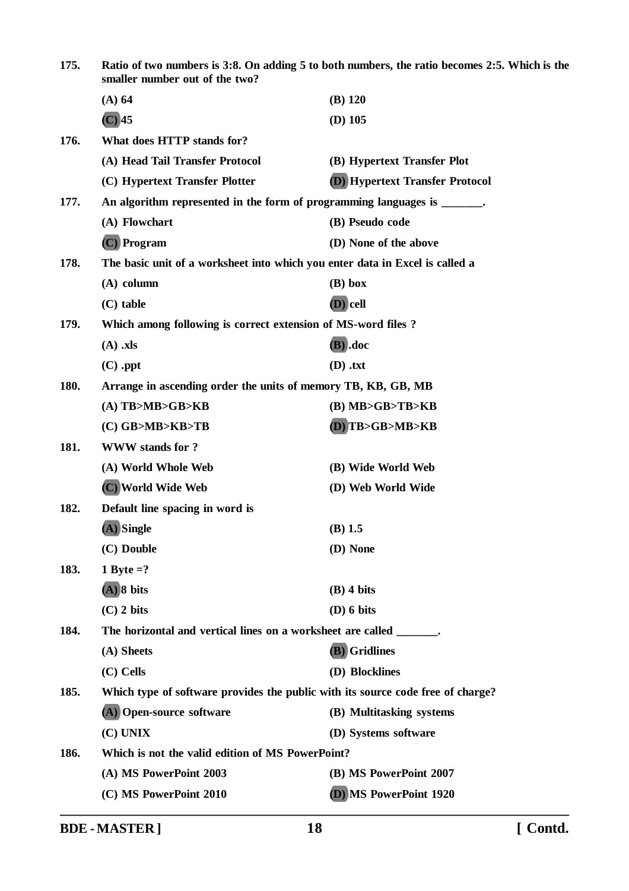| 175. | Ratio of two numbers is 3:8. On adding 5 to both numbers, the ratio becomes 2:5. Which is the<br>smaller number out of the two? |                                        |
|------|---------------------------------------------------------------------------------------------------------------------------------|----------------------------------------|
|      | $(A)$ 64                                                                                                                        | $(B)$ 120                              |
|      | $(C)$ 45                                                                                                                        | $(D)$ 105                              |
| 176. | What does HTTP stands for?                                                                                                      |                                        |
|      | (A) Head Tail Transfer Protocol                                                                                                 | (B) Hypertext Transfer Plot            |
|      | (C) Hypertext Transfer Plotter                                                                                                  | <b>D</b> ) Hypertext Transfer Protocol |
| 177. | An algorithm represented in the form of programming languages is _______.                                                       |                                        |
|      | (A) Flowchart                                                                                                                   | (B) Pseudo code                        |
|      | (C) Program                                                                                                                     | (D) None of the above                  |
| 178. | The basic unit of a worksheet into which you enter data in Excel is called a                                                    |                                        |
|      | $(A)$ column                                                                                                                    | $(B)$ box                              |
|      | $(C)$ table                                                                                                                     | (D) cell                               |
| 179. | Which among following is correct extension of MS-word files?                                                                    |                                        |
|      | $(A)$ .xls                                                                                                                      | (B) .doc                               |
|      | $(C)$ .ppt                                                                                                                      | $(D)$ .txt                             |
| 180. | Arrange in ascending order the units of memory TB, KB, GB, MB                                                                   |                                        |
|      | $(A)$ TB>MB>GB>KB                                                                                                               | $(B)$ MB>GB>TB>KB                      |
|      | (C) GB>MB>KB>TB                                                                                                                 | (D) TB>GB>MB>KB                        |
| 181. | <b>WWW</b> stands for ?                                                                                                         |                                        |
|      | (A) World Whole Web                                                                                                             | (B) Wide World Web                     |
|      | (C) World Wide Web                                                                                                              | (D) Web World Wide                     |
| 182. | Default line spacing in word is                                                                                                 |                                        |
|      | (A) Single                                                                                                                      | $(B)$ 1.5                              |
|      | (C) Double                                                                                                                      | (D) None                               |
| 183. | 1 Byte $=?$                                                                                                                     |                                        |
|      | $(A)$ 8 bits                                                                                                                    | $(B)$ 4 bits                           |
|      | $(C)$ 2 bits                                                                                                                    | $(D)$ 6 bits                           |
| 184. | The horizontal and vertical lines on a worksheet are called _______.                                                            |                                        |
|      | (A) Sheets                                                                                                                      | (B) Gridlines                          |
|      | (C) Cells                                                                                                                       | (D) Blocklines                         |
| 185. | Which type of software provides the public with its source code free of charge?                                                 |                                        |
|      | (A) Open-source software                                                                                                        | (B) Multitasking systems               |
|      | (C) UNIX                                                                                                                        | (D) Systems software                   |
| 186. | Which is not the valid edition of MS PowerPoint?                                                                                |                                        |
|      | (A) MS PowerPoint 2003                                                                                                          | (B) MS PowerPoint 2007                 |
|      | (C) MS PowerPoint 2010                                                                                                          | (D) MS PowerPoint 1920                 |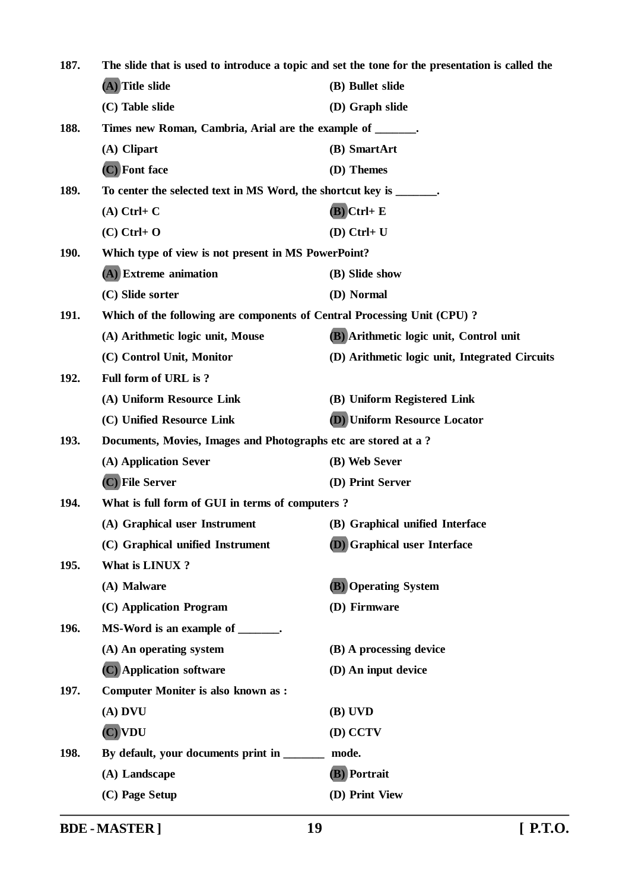| 187.        | The slide that is used to introduce a topic and set the tone for the presentation is called the |                                                |
|-------------|-------------------------------------------------------------------------------------------------|------------------------------------------------|
|             | (A) Title slide                                                                                 | (B) Bullet slide                               |
|             | (C) Table slide                                                                                 | (D) Graph slide                                |
| 188.        | Times new Roman, Cambria, Arial are the example of ______.                                      |                                                |
|             | (A) Clipart                                                                                     | (B) SmartArt                                   |
|             | (C) Font face                                                                                   | (D) Themes                                     |
| 189.        | To center the selected text in MS Word, the shortcut key is _______.                            |                                                |
|             | $(A)$ Ctrl+ C                                                                                   | $(B)$ Ctrl+ E                                  |
|             | $(C)$ Ctrl+ O                                                                                   | $(D)$ Ctrl+ U                                  |
| <b>190.</b> | Which type of view is not present in MS PowerPoint?                                             |                                                |
|             | (A) Extreme animation                                                                           | (B) Slide show                                 |
|             | (C) Slide sorter                                                                                | (D) Normal                                     |
| 191.        | Which of the following are components of Central Processing Unit (CPU)?                         |                                                |
|             | (A) Arithmetic logic unit, Mouse                                                                | (B) Arithmetic logic unit, Control unit        |
|             | (C) Control Unit, Monitor                                                                       | (D) Arithmetic logic unit, Integrated Circuits |
| 192.        | Full form of URL is?                                                                            |                                                |
|             | (A) Uniform Resource Link                                                                       | (B) Uniform Registered Link                    |
|             | (C) Unified Resource Link                                                                       | (D) Uniform Resource Locator                   |
| 193.        | Documents, Movies, Images and Photographs etc are stored at a ?                                 |                                                |
|             | (A) Application Sever                                                                           | (B) Web Sever                                  |
|             | (C) File Server                                                                                 | (D) Print Server                               |
| 194.        | What is full form of GUI in terms of computers?                                                 |                                                |
|             | (A) Graphical user Instrument                                                                   | (B) Graphical unified Interface                |
|             | (C) Graphical unified Instrument                                                                | <b>D</b> Graphical user Interface              |
| 195.        | What is LINUX?                                                                                  |                                                |
|             | (A) Malware                                                                                     | <b>(B)</b> Operating System                    |
|             | (C) Application Program                                                                         | (D) Firmware                                   |
| 196.        | MS-Word is an example of _______.                                                               |                                                |
|             | (A) An operating system                                                                         | (B) A processing device                        |
|             | (C) Application software                                                                        | (D) An input device                            |
| 197.        | <b>Computer Moniter is also known as:</b>                                                       |                                                |
|             | $(A)$ DVU                                                                                       | (B) UVD                                        |
|             | $(C)$ VDU                                                                                       | (D) CCTV                                       |
| 198.        | By default, your documents print in _______                                                     | mode.                                          |
|             | (A) Landscape                                                                                   | (B) Portrait                                   |
|             | (C) Page Setup                                                                                  | (D) Print View                                 |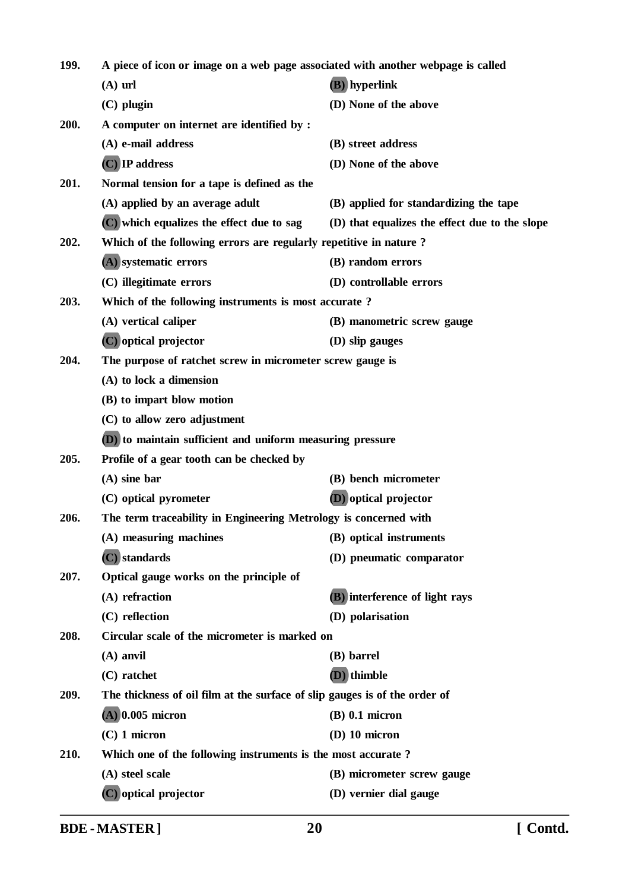| 199. | A piece of icon or image on a web page associated with another webpage is called |                                                |
|------|----------------------------------------------------------------------------------|------------------------------------------------|
|      | $(A)$ url                                                                        | (B) hyperlink                                  |
|      | $(C)$ plugin                                                                     | (D) None of the above                          |
| 200. | A computer on internet are identified by :                                       |                                                |
|      | (A) e-mail address                                                               | (B) street address                             |
|      | $(C)$ IP address                                                                 | (D) None of the above                          |
| 201. | Normal tension for a tape is defined as the                                      |                                                |
|      | (A) applied by an average adult                                                  | (B) applied for standardizing the tape         |
|      | (C) which equalizes the effect due to sag                                        | (D) that equalizes the effect due to the slope |
| 202. | Which of the following errors are regularly repetitive in nature?                |                                                |
|      | (A) systematic errors                                                            | (B) random errors                              |
|      | (C) illegitimate errors                                                          | (D) controllable errors                        |
| 203. | Which of the following instruments is most accurate?                             |                                                |
|      | (A) vertical caliper                                                             | (B) manometric screw gauge                     |
|      | (C) optical projector                                                            | (D) slip gauges                                |
| 204. | The purpose of ratchet screw in micrometer screw gauge is                        |                                                |
|      | (A) to lock a dimension                                                          |                                                |
|      | (B) to impart blow motion                                                        |                                                |
|      | (C) to allow zero adjustment                                                     |                                                |
|      | (D) to maintain sufficient and uniform measuring pressure                        |                                                |
| 205. | Profile of a gear tooth can be checked by                                        |                                                |
|      | $(A)$ sine bar                                                                   | (B) bench micrometer                           |
|      | (C) optical pyrometer                                                            | (D) optical projector                          |
| 206. | The term traceability in Engineering Metrology is concerned with                 |                                                |
|      | (A) measuring machines                                                           | (B) optical instruments                        |
|      | (C) standards                                                                    | (D) pneumatic comparator                       |
| 207. | Optical gauge works on the principle of                                          |                                                |
|      | (A) refraction                                                                   | (B) interference of light rays                 |
|      | (C) reflection                                                                   | (D) polarisation                               |
| 208. | Circular scale of the micrometer is marked on                                    |                                                |
|      | $(A)$ anvil                                                                      | (B) barrel                                     |
|      | $(C)$ ratchet                                                                    | $(D)$ thimble                                  |
| 209. | The thickness of oil film at the surface of slip gauges is of the order of       |                                                |
|      | $(A)$ 0.005 micron                                                               | $(B)$ 0.1 micron                               |
|      | $(C)$ 1 micron                                                                   | $(D)$ 10 micron                                |
| 210. | Which one of the following instruments is the most accurate?                     |                                                |
|      | (A) steel scale                                                                  | (B) micrometer screw gauge                     |
|      | (C) optical projector                                                            | (D) vernier dial gauge                         |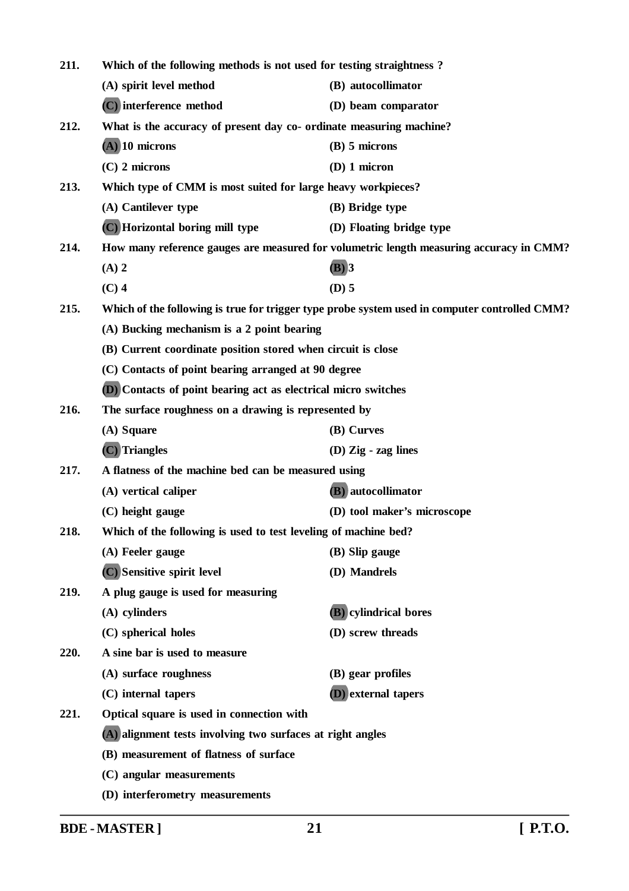| 211. | Which of the following methods is not used for testing straightness?  |                                                                                               |
|------|-----------------------------------------------------------------------|-----------------------------------------------------------------------------------------------|
|      | (A) spirit level method                                               | (B) autocollimator                                                                            |
|      | (C) interference method                                               | (D) beam comparator                                                                           |
| 212. | What is the accuracy of present day co- ordinate measuring machine?   |                                                                                               |
|      | $(A)$ 10 microns                                                      | $(B)$ 5 microns                                                                               |
|      | $(C)$ 2 microns                                                       | $(D)$ 1 micron                                                                                |
| 213. | Which type of CMM is most suited for large heavy workpieces?          |                                                                                               |
|      | (A) Cantilever type                                                   | (B) Bridge type                                                                               |
|      | (C) Horizontal boring mill type                                       | (D) Floating bridge type                                                                      |
| 214. |                                                                       | How many reference gauges are measured for volumetric length measuring accuracy in CMM?       |
|      | $(A)$ 2                                                               | $(B)$ 3                                                                                       |
|      | $(C)$ 4                                                               | $(D)$ 5                                                                                       |
| 215. |                                                                       | Which of the following is true for trigger type probe system used in computer controlled CMM? |
|      | (A) Bucking mechanism is a 2 point bearing                            |                                                                                               |
|      | (B) Current coordinate position stored when circuit is close          |                                                                                               |
|      | (C) Contacts of point bearing arranged at 90 degree                   |                                                                                               |
|      | <b>(D)</b> Contacts of point bearing act as electrical micro switches |                                                                                               |
| 216. | The surface roughness on a drawing is represented by                  |                                                                                               |
|      | (A) Square                                                            | (B) Curves                                                                                    |
|      | $(C)$ Triangles                                                       | $(D)$ Zig - zag lines                                                                         |
| 217. | A flatness of the machine bed can be measured using                   |                                                                                               |
|      | (A) vertical caliper                                                  | (B) autocollimator                                                                            |
|      | (C) height gauge                                                      | (D) tool maker's microscope                                                                   |
| 218. | Which of the following is used to test leveling of machine bed?       |                                                                                               |
|      | (A) Feeler gauge                                                      | (B) Slip gauge                                                                                |
|      | (C) Sensitive spirit level                                            | (D) Mandrels                                                                                  |
| 219. | A plug gauge is used for measuring                                    |                                                                                               |
|      | (A) cylinders                                                         | (B) cylindrical bores                                                                         |
|      | (C) spherical holes                                                   | (D) screw threads                                                                             |
| 220. | A sine bar is used to measure                                         |                                                                                               |
|      | (A) surface roughness                                                 | (B) gear profiles                                                                             |
|      | (C) internal tapers                                                   | <b>(D)</b> external tapers                                                                    |
| 221. | Optical square is used in connection with                             |                                                                                               |
|      | (A) alignment tests involving two surfaces at right angles            |                                                                                               |
|      | (B) measurement of flatness of surface                                |                                                                                               |
|      | (C) angular measurements                                              |                                                                                               |
|      | (D) interferometry measurements                                       |                                                                                               |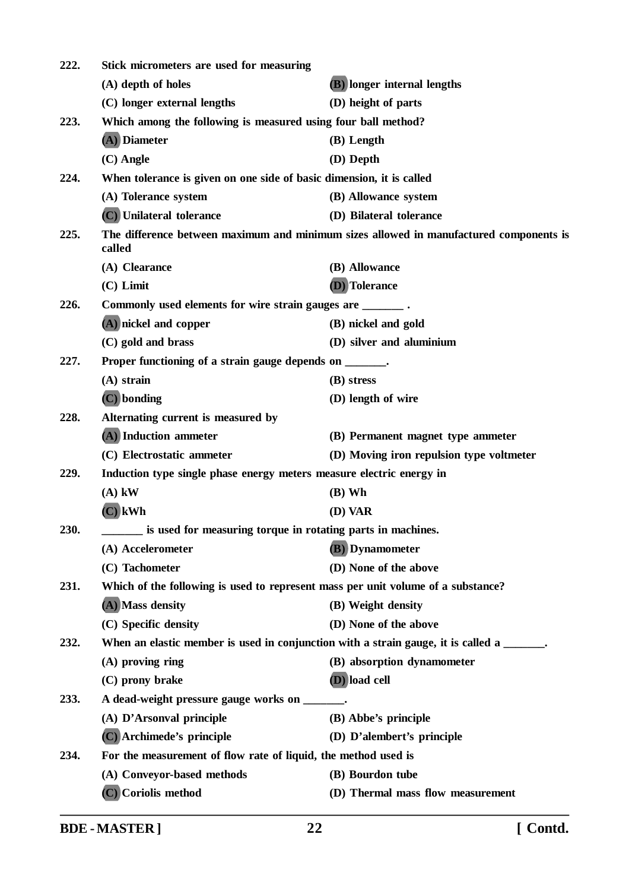| 222. | Stick micrometers are used for measuring                                                  |                                                                                        |  |
|------|-------------------------------------------------------------------------------------------|----------------------------------------------------------------------------------------|--|
|      | (A) depth of holes                                                                        | <b>(B)</b> longer internal lengths                                                     |  |
|      | (C) longer external lengths                                                               | (D) height of parts                                                                    |  |
| 223. | Which among the following is measured using four ball method?                             |                                                                                        |  |
|      | (A) Diameter                                                                              | (B) Length                                                                             |  |
|      | $(C)$ Angle                                                                               | (D) Depth                                                                              |  |
| 224. | When tolerance is given on one side of basic dimension, it is called                      |                                                                                        |  |
|      | (A) Tolerance system                                                                      | (B) Allowance system                                                                   |  |
|      | (C) Unilateral tolerance                                                                  | (D) Bilateral tolerance                                                                |  |
| 225. | called                                                                                    | The difference between maximum and minimum sizes allowed in manufactured components is |  |
|      | (A) Clearance                                                                             | (B) Allowance                                                                          |  |
|      | $(C)$ Limit                                                                               | (D) Tolerance                                                                          |  |
| 226. | Commonly used elements for wire strain gauges are ________.                               |                                                                                        |  |
|      | (A) nickel and copper                                                                     | (B) nickel and gold                                                                    |  |
|      | (C) gold and brass                                                                        | (D) silver and aluminium                                                               |  |
| 227. | Proper functioning of a strain gauge depends on ______.                                   |                                                                                        |  |
|      | $(A)$ strain                                                                              | (B) stress                                                                             |  |
|      | (C) bonding                                                                               | (D) length of wire                                                                     |  |
| 228. | Alternating current is measured by                                                        |                                                                                        |  |
|      | (A) Induction ammeter                                                                     | (B) Permanent magnet type ammeter                                                      |  |
|      | (C) Electrostatic ammeter                                                                 | (D) Moving iron repulsion type voltmeter                                               |  |
| 229. | Induction type single phase energy meters measure electric energy in                      |                                                                                        |  |
|      | $(A)$ kW                                                                                  | $(B)$ Wh                                                                               |  |
|      | $(C)$ kWh                                                                                 | (D) VAR                                                                                |  |
| 230. | is used for measuring torque in rotating parts in machines.                               |                                                                                        |  |
|      | (A) Accelerometer                                                                         | (B) Dynamometer                                                                        |  |
|      | (C) Tachometer                                                                            | (D) None of the above                                                                  |  |
| 231. | Which of the following is used to represent mass per unit volume of a substance?          |                                                                                        |  |
|      | (A) Mass density                                                                          | (B) Weight density                                                                     |  |
|      | (C) Specific density                                                                      | (D) None of the above                                                                  |  |
| 232. | When an elastic member is used in conjunction with a strain gauge, it is called a ______. |                                                                                        |  |
|      | $(A)$ proving ring                                                                        | (B) absorption dynamometer                                                             |  |
|      | (C) prony brake                                                                           | (D) load cell                                                                          |  |
| 233. | A dead-weight pressure gauge works on _______.                                            |                                                                                        |  |
|      | (A) D'Arsonval principle                                                                  | (B) Abbe's principle                                                                   |  |
|      | (C) Archimede's principle                                                                 | (D) D'alembert's principle                                                             |  |
| 234. | For the measurement of flow rate of liquid, the method used is                            |                                                                                        |  |
|      | (A) Conveyor-based methods                                                                | (B) Bourdon tube                                                                       |  |
|      | (C) Coriolis method                                                                       | (D) Thermal mass flow measurement                                                      |  |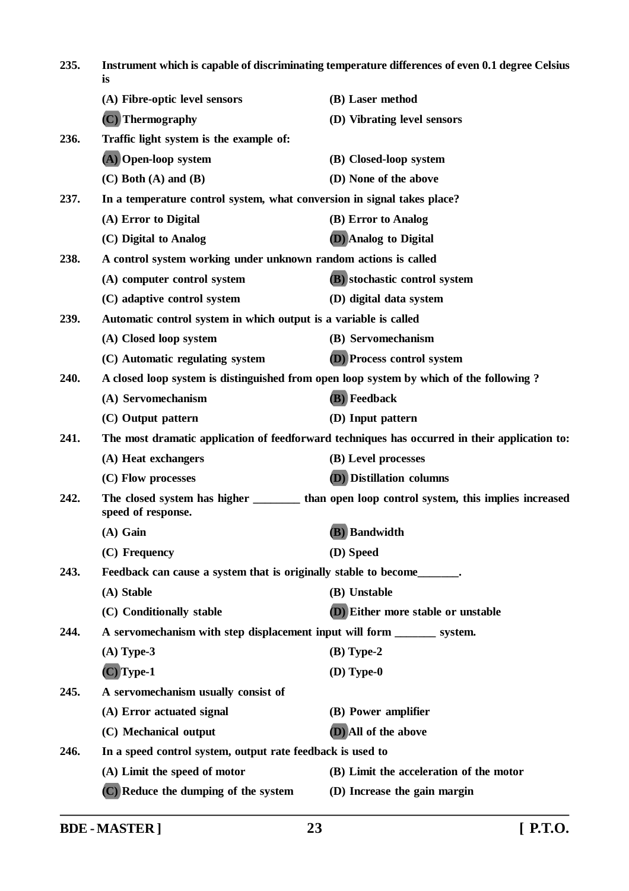| 235. | Instrument which is capable of discriminating temperature differences of even 0.1 degree Celsius<br>is |                                                                                                |
|------|--------------------------------------------------------------------------------------------------------|------------------------------------------------------------------------------------------------|
|      | (A) Fibre-optic level sensors                                                                          | (B) Laser method                                                                               |
|      | (C) Thermography                                                                                       | (D) Vibrating level sensors                                                                    |
| 236. | Traffic light system is the example of:                                                                |                                                                                                |
|      | (A) Open-loop system                                                                                   | (B) Closed-loop system                                                                         |
|      | $(C)$ Both $(A)$ and $(B)$                                                                             | (D) None of the above                                                                          |
| 237. | In a temperature control system, what conversion in signal takes place?                                |                                                                                                |
|      | (A) Error to Digital                                                                                   | (B) Error to Analog                                                                            |
|      | (C) Digital to Analog                                                                                  | (D) Analog to Digital                                                                          |
| 238. | A control system working under unknown random actions is called                                        |                                                                                                |
|      | (A) computer control system                                                                            | (B) stochastic control system                                                                  |
|      | (C) adaptive control system                                                                            | (D) digital data system                                                                        |
| 239. | Automatic control system in which output is a variable is called                                       |                                                                                                |
|      | (A) Closed loop system                                                                                 | (B) Servomechanism                                                                             |
|      | (C) Automatic regulating system                                                                        | <b>(D)</b> Process control system                                                              |
| 240. |                                                                                                        | A closed loop system is distinguished from open loop system by which of the following?         |
|      | (A) Servomechanism                                                                                     | (B) Feedback                                                                                   |
|      | (C) Output pattern                                                                                     | (D) Input pattern                                                                              |
| 241. |                                                                                                        | The most dramatic application of feedforward techniques has occurred in their application to:  |
|      | (A) Heat exchangers                                                                                    | (B) Level processes                                                                            |
|      | (C) Flow processes                                                                                     | <b>(D)</b> Distillation columns                                                                |
| 242. | speed of response.                                                                                     | The closed system has higher ___________ than open loop control system, this implies increased |
|      | $(A)$ Gain                                                                                             | (B) Bandwidth                                                                                  |
|      | (C) Frequency                                                                                          | (D) Speed                                                                                      |
| 243. | Feedback can cause a system that is originally stable to become_______.                                |                                                                                                |
|      | (A) Stable                                                                                             | (B) Unstable                                                                                   |
|      | (C) Conditionally stable                                                                               | (D) Either more stable or unstable                                                             |
| 244. | A servomechanism with step displacement input will form ________ system.                               |                                                                                                |
|      | $(A)$ Type-3                                                                                           | $(B)$ Type-2                                                                                   |
|      | $(C)$ Type-1                                                                                           | $(D)$ Type- $0$                                                                                |
| 245. | A servomechanism usually consist of                                                                    |                                                                                                |
|      | (A) Error actuated signal                                                                              | (B) Power amplifier                                                                            |
|      | (C) Mechanical output                                                                                  | (D) All of the above                                                                           |
| 246. | In a speed control system, output rate feedback is used to                                             |                                                                                                |
|      | (A) Limit the speed of motor                                                                           | (B) Limit the acceleration of the motor                                                        |
|      | (C) Reduce the dumping of the system                                                                   | (D) Increase the gain margin                                                                   |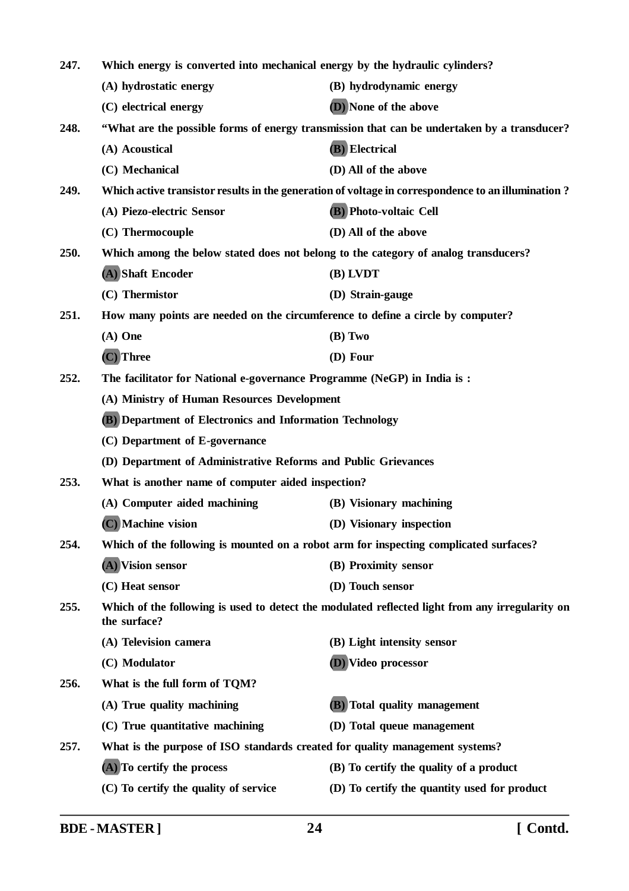| 247. | Which energy is converted into mechanical energy by the hydraulic cylinders?          |                                                                                                    |
|------|---------------------------------------------------------------------------------------|----------------------------------------------------------------------------------------------------|
|      | (A) hydrostatic energy                                                                | (B) hydrodynamic energy                                                                            |
|      | (C) electrical energy                                                                 | (D) None of the above                                                                              |
| 248. |                                                                                       | "What are the possible forms of energy transmission that can be undertaken by a transducer?        |
|      | (A) Acoustical                                                                        | (B) Electrical                                                                                     |
|      | (C) Mechanical                                                                        | (D) All of the above                                                                               |
| 249. |                                                                                       | Which active transistor results in the generation of voltage in correspondence to an illumination? |
|      | (A) Piezo-electric Sensor                                                             | (B) Photo-voltaic Cell                                                                             |
|      | (C) Thermocouple                                                                      | (D) All of the above                                                                               |
| 250. | Which among the below stated does not belong to the category of analog transducers?   |                                                                                                    |
|      | (A) Shaft Encoder                                                                     | (B) LVDT                                                                                           |
|      | (C) Thermistor                                                                        | (D) Strain-gauge                                                                                   |
| 251. | How many points are needed on the circumference to define a circle by computer?       |                                                                                                    |
|      | $(A)$ One                                                                             | (B) Two                                                                                            |
|      | (C) Three                                                                             | (D) Four                                                                                           |
| 252. | The facilitator for National e-governance Programme (NeGP) in India is:               |                                                                                                    |
|      | (A) Ministry of Human Resources Development                                           |                                                                                                    |
|      | <b>(B)</b> Department of Electronics and Information Technology                       |                                                                                                    |
|      | (C) Department of E-governance                                                        |                                                                                                    |
|      | (D) Department of Administrative Reforms and Public Grievances                        |                                                                                                    |
| 253. | What is another name of computer aided inspection?                                    |                                                                                                    |
|      | (A) Computer aided machining                                                          | (B) Visionary machining                                                                            |
|      | (C) Machine vision                                                                    | (D) Visionary inspection                                                                           |
| 254. | Which of the following is mounted on a robot arm for inspecting complicated surfaces? |                                                                                                    |
|      | (A) Vision sensor                                                                     | (B) Proximity sensor                                                                               |
|      | (C) Heat sensor                                                                       | (D) Touch sensor                                                                                   |
| 255. | the surface?                                                                          | Which of the following is used to detect the modulated reflected light from any irregularity on    |
|      | (A) Television camera                                                                 | (B) Light intensity sensor                                                                         |
|      | (C) Modulator                                                                         | (D) Video processor                                                                                |
| 256. | What is the full form of TQM?                                                         |                                                                                                    |
|      | (A) True quality machining                                                            | <b>(B)</b> Total quality management                                                                |
|      | (C) True quantitative machining                                                       | (D) Total queue management                                                                         |
| 257. | What is the purpose of ISO standards created for quality management systems?          |                                                                                                    |
|      | (A) To certify the process                                                            | (B) To certify the quality of a product                                                            |
|      | (C) To certify the quality of service                                                 | (D) To certify the quantity used for product                                                       |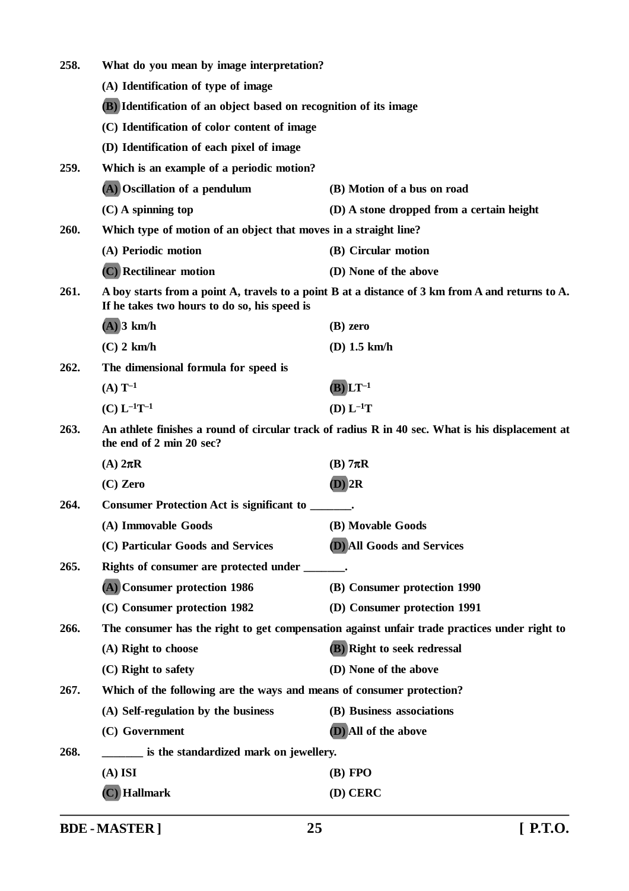| 258.                                         | What do you mean by image interpretation?                                                                |                                                                                                  |
|----------------------------------------------|----------------------------------------------------------------------------------------------------------|--------------------------------------------------------------------------------------------------|
|                                              | (A) Identification of type of image<br>(B) Identification of an object based on recognition of its image |                                                                                                  |
|                                              |                                                                                                          |                                                                                                  |
| (C) Identification of color content of image |                                                                                                          |                                                                                                  |
|                                              | (D) Identification of each pixel of image                                                                |                                                                                                  |
| 259.                                         | Which is an example of a periodic motion?                                                                |                                                                                                  |
|                                              | (A) Oscillation of a pendulum                                                                            | (B) Motion of a bus on road                                                                      |
|                                              | $(C)$ A spinning top                                                                                     | (D) A stone dropped from a certain height                                                        |
| 260.                                         | Which type of motion of an object that moves in a straight line?                                         |                                                                                                  |
|                                              | (A) Periodic motion                                                                                      | (B) Circular motion                                                                              |
|                                              | (C) Rectilinear motion                                                                                   | (D) None of the above                                                                            |
| 261.                                         | If he takes two hours to do so, his speed is                                                             | A boy starts from a point A, travels to a point B at a distance of 3 km from A and returns to A. |
|                                              | $(A)$ 3 km/h                                                                                             | $(B)$ zero                                                                                       |
|                                              | $(C)$ 2 km/h                                                                                             | $(D)$ 1.5 km/h                                                                                   |
| 262.                                         | The dimensional formula for speed is                                                                     |                                                                                                  |
|                                              | $(A) T^{-1}$                                                                                             | $(B) L T^{-1}$                                                                                   |
|                                              | $(C) L^{-1}T^{-1}$                                                                                       | $(D) L^{-1}T$                                                                                    |
| 263.                                         | the end of 2 min 20 sec?                                                                                 | An athlete finishes a round of circular track of radius R in 40 sec. What is his displacement at |
|                                              | (A) $2\pi R$                                                                                             | $(B)$ 7 $\pi$ R                                                                                  |
|                                              | $(C)$ Zero                                                                                               | $(D)$ 2R                                                                                         |
| 264.                                         | Consumer Protection Act is significant to ______                                                         |                                                                                                  |
|                                              | (A) Immovable Goods                                                                                      | (B) Movable Goods                                                                                |
|                                              | (C) Particular Goods and Services                                                                        | <b>(D)</b> All Goods and Services                                                                |
| 265.                                         | Rights of consumer are protected under _______.                                                          |                                                                                                  |
|                                              | (A) Consumer protection 1986                                                                             | (B) Consumer protection 1990                                                                     |
|                                              | (C) Consumer protection 1982                                                                             | (D) Consumer protection 1991                                                                     |
| 266.                                         |                                                                                                          | The consumer has the right to get compensation against unfair trade practices under right to     |
|                                              | (A) Right to choose                                                                                      | (B) Right to seek redressal                                                                      |
|                                              | (C) Right to safety                                                                                      | (D) None of the above                                                                            |
| 267.                                         | Which of the following are the ways and means of consumer protection?                                    |                                                                                                  |
|                                              | (A) Self-regulation by the business                                                                      | (B) Business associations                                                                        |
|                                              | (C) Government                                                                                           | (D) All of the above                                                                             |
| 268.                                         | _____ is the standardized mark on jewellery.                                                             |                                                                                                  |
|                                              | $(A)$ ISI                                                                                                | $(B)$ FPO                                                                                        |
|                                              | $(C)$ Hallmark                                                                                           | (D) CERC                                                                                         |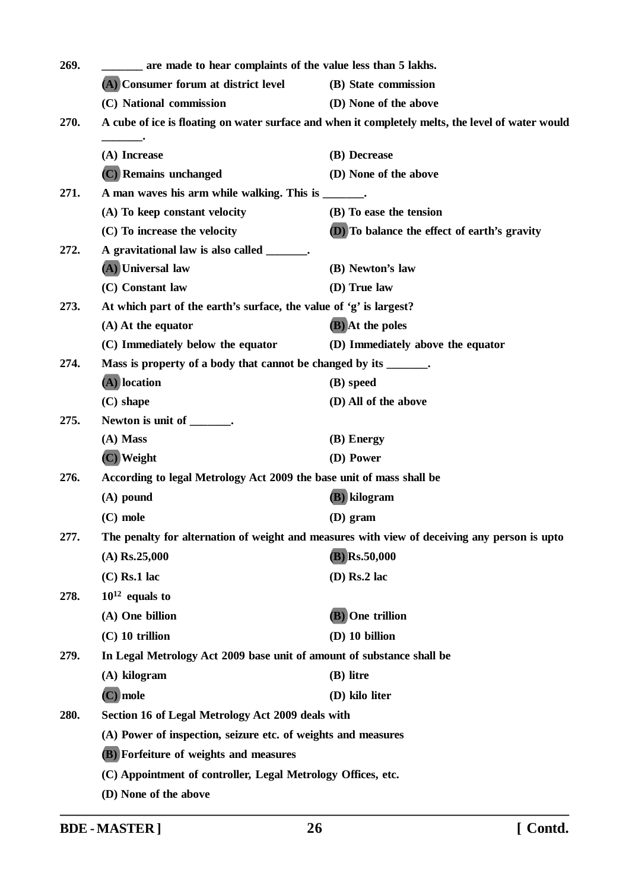| 269. | ____ are made to hear complaints of the value less than 5 lakhs.                                  |                                              |  |
|------|---------------------------------------------------------------------------------------------------|----------------------------------------------|--|
|      | (A) Consumer forum at district level                                                              | (B) State commission                         |  |
|      | (C) National commission                                                                           | (D) None of the above                        |  |
| 270. | A cube of ice is floating on water surface and when it completely melts, the level of water would |                                              |  |
|      | (A) Increase                                                                                      | (B) Decrease                                 |  |
|      | (C) Remains unchanged                                                                             | (D) None of the above                        |  |
| 271. | A man waves his arm while walking. This is ______.                                                |                                              |  |
|      | (A) To keep constant velocity                                                                     | (B) To ease the tension                      |  |
|      | (C) To increase the velocity                                                                      | (D) To balance the effect of earth's gravity |  |
| 272. | A gravitational law is also called _______.                                                       |                                              |  |
|      | (A) Universal law                                                                                 | (B) Newton's law                             |  |
|      | (C) Constant law                                                                                  | (D) True law                                 |  |
| 273. | At which part of the earth's surface, the value of 'g' is largest?                                |                                              |  |
|      | $(A)$ At the equator                                                                              | (B) At the poles                             |  |
|      | (C) Immediately below the equator                                                                 | (D) Immediately above the equator            |  |
| 274. | Mass is property of a body that cannot be changed by its _______.                                 |                                              |  |
|      | $(A)$ location                                                                                    | (B) speed                                    |  |
|      | $(C)$ shape                                                                                       | (D) All of the above                         |  |
| 275. | Newton is unit of _______.                                                                        |                                              |  |
|      | (A) Mass                                                                                          | (B) Energy                                   |  |
|      | (C) Weight                                                                                        | (D) Power                                    |  |
| 276. | According to legal Metrology Act 2009 the base unit of mass shall be                              |                                              |  |
|      | $(A)$ pound                                                                                       | (B) kilogram                                 |  |
|      | $(C)$ mole                                                                                        | $(D)$ gram                                   |  |
| 277. | The penalty for alternation of weight and measures with view of deceiving any person is upto      |                                              |  |
|      | $(A)$ Rs.25,000                                                                                   | $(B)$ Rs.50,000                              |  |
|      | $(C)$ Rs.1 lac                                                                                    | $(D)$ Rs.2 lac                               |  |
| 278. | $10^{12}$ equals to                                                                               |                                              |  |
|      | (A) One billion                                                                                   | (B) One trillion                             |  |
|      | $(C)$ 10 trillion                                                                                 | (D) 10 billion                               |  |
| 279. | In Legal Metrology Act 2009 base unit of amount of substance shall be                             |                                              |  |
|      | (A) kilogram                                                                                      | (B) litre                                    |  |
|      | $(C)$ mole                                                                                        | (D) kilo liter                               |  |
| 280. | Section 16 of Legal Metrology Act 2009 deals with                                                 |                                              |  |
|      | (A) Power of inspection, seizure etc. of weights and measures                                     |                                              |  |
|      |                                                                                                   |                                              |  |
|      | <b>(B)</b> Forfeiture of weights and measures                                                     |                                              |  |
|      | (C) Appointment of controller, Legal Metrology Offices, etc.                                      |                                              |  |
|      | (D) None of the above                                                                             |                                              |  |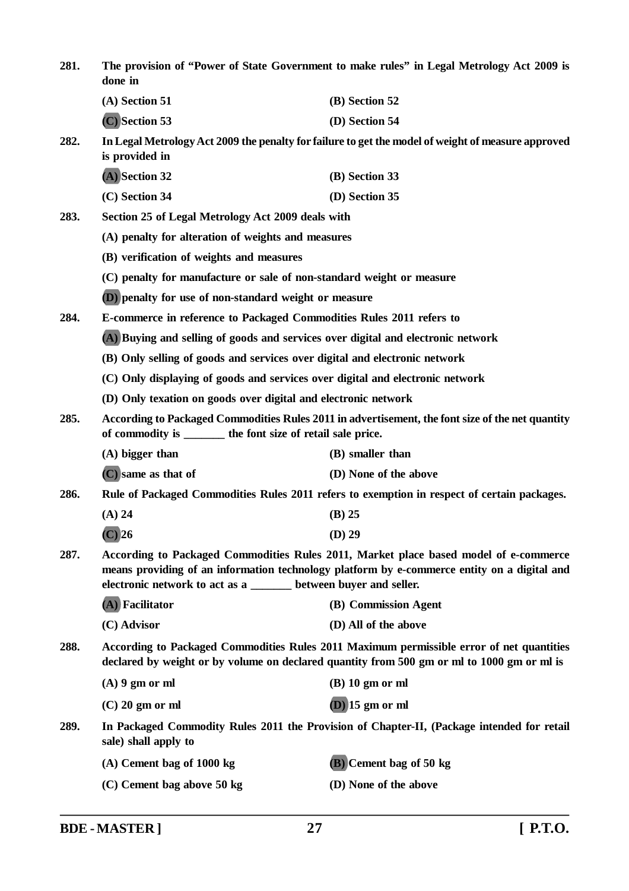| 281. | The provision of "Power of State Government to make rules" in Legal Metrology Act 2009 is<br>done in                                                                                                                                                   |                         |  |
|------|--------------------------------------------------------------------------------------------------------------------------------------------------------------------------------------------------------------------------------------------------------|-------------------------|--|
|      | $(A)$ Section 51                                                                                                                                                                                                                                       | (B) Section 52          |  |
|      | (C) Section 53                                                                                                                                                                                                                                         | (D) Section 54          |  |
| 282. | In Legal Metrology Act 2009 the penalty for failure to get the model of weight of measure approved<br>is provided in                                                                                                                                   |                         |  |
|      | (A) Section 32                                                                                                                                                                                                                                         | (B) Section 33          |  |
|      | $(C)$ Section 34                                                                                                                                                                                                                                       | (D) Section 35          |  |
| 283. | Section 25 of Legal Metrology Act 2009 deals with                                                                                                                                                                                                      |                         |  |
|      | (A) penalty for alteration of weights and measures                                                                                                                                                                                                     |                         |  |
|      | (B) verification of weights and measures                                                                                                                                                                                                               |                         |  |
|      | (C) penalty for manufacture or sale of non-standard weight or measure                                                                                                                                                                                  |                         |  |
|      | <b>(D)</b> penalty for use of non-standard weight or measure                                                                                                                                                                                           |                         |  |
| 284. | E-commerce in reference to Packaged Commodities Rules 2011 refers to                                                                                                                                                                                   |                         |  |
|      | (A) Buying and selling of goods and services over digital and electronic network                                                                                                                                                                       |                         |  |
|      | (B) Only selling of goods and services over digital and electronic network                                                                                                                                                                             |                         |  |
|      | (C) Only displaying of goods and services over digital and electronic network                                                                                                                                                                          |                         |  |
|      | (D) Only texation on goods over digital and electronic network                                                                                                                                                                                         |                         |  |
| 285. | According to Packaged Commodities Rules 2011 in advertisement, the font size of the net quantity<br>of commodity is ________ the font size of retail sale price.                                                                                       |                         |  |
|      | $(A)$ bigger than                                                                                                                                                                                                                                      | (B) smaller than        |  |
|      | (C) same as that of                                                                                                                                                                                                                                    | (D) None of the above   |  |
| 286. | Rule of Packaged Commodities Rules 2011 refers to exemption in respect of certain packages.                                                                                                                                                            |                         |  |
|      | $(A)$ 24                                                                                                                                                                                                                                               | $(B)$ 25                |  |
|      | $(C)$ 26                                                                                                                                                                                                                                               | $(D)$ 29                |  |
| 287. | According to Packaged Commodities Rules 2011, Market place based model of e-commerce<br>means providing of an information technology platform by e-commerce entity on a digital and<br>electronic network to act as a ______ between buyer and seller. |                         |  |
|      | (A) Facilitator                                                                                                                                                                                                                                        | (B) Commission Agent    |  |
|      | (C) Advisor                                                                                                                                                                                                                                            | (D) All of the above    |  |
| 288. | According to Packaged Commodities Rules 2011 Maximum permissible error of net quantities<br>declared by weight or by volume on declared quantity from 500 gm or ml to 1000 gm or ml is                                                                 |                         |  |
|      | $(A)$ 9 gm or ml                                                                                                                                                                                                                                       | $(B)$ 10 gm or ml       |  |
|      | $(C)$ 20 gm or ml                                                                                                                                                                                                                                      | $(D)$ 15 gm or ml       |  |
| 289. | In Packaged Commodity Rules 2011 the Provision of Chapter-II, (Package intended for retail<br>sale) shall apply to                                                                                                                                     |                         |  |
|      | $(A)$ Cement bag of 1000 kg                                                                                                                                                                                                                            | (B) Cement bag of 50 kg |  |
|      | (C) Cement bag above 50 kg                                                                                                                                                                                                                             | (D) None of the above   |  |
|      |                                                                                                                                                                                                                                                        |                         |  |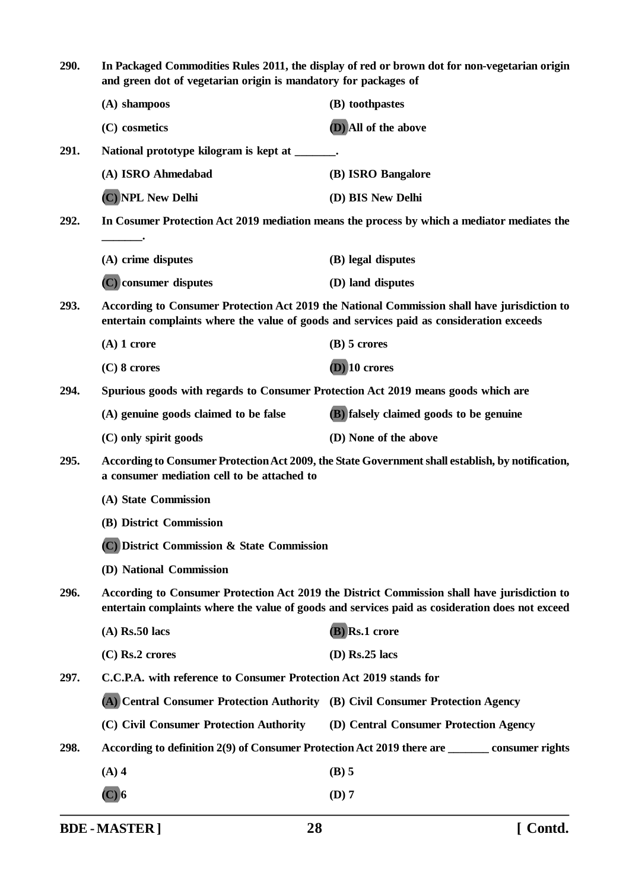| 290. | In Packaged Commodities Rules 2011, the display of red or brown dot for non-vegetarian origin<br>and green dot of vegetarian origin is mandatory for packages of                                |                                         |  |
|------|-------------------------------------------------------------------------------------------------------------------------------------------------------------------------------------------------|-----------------------------------------|--|
|      | (A) shampoos                                                                                                                                                                                    | (B) toothpastes                         |  |
|      | (C) cosmetics                                                                                                                                                                                   | (D) All of the above                    |  |
| 291. | National prototype kilogram is kept at ______.                                                                                                                                                  |                                         |  |
|      | (A) ISRO Ahmedabad                                                                                                                                                                              | (B) ISRO Bangalore                      |  |
|      | (C) NPL New Delhi                                                                                                                                                                               | (D) BIS New Delhi                       |  |
| 292. | In Cosumer Protection Act 2019 mediation means the process by which a mediator mediates the                                                                                                     |                                         |  |
|      | (A) crime disputes                                                                                                                                                                              | (B) legal disputes                      |  |
|      | (C) consumer disputes                                                                                                                                                                           | (D) land disputes                       |  |
| 293. | According to Consumer Protection Act 2019 the National Commission shall have jurisdiction to<br>entertain complaints where the value of goods and services paid as consideration exceeds        |                                         |  |
|      | $(A)$ 1 crore                                                                                                                                                                                   | $(B)$ 5 crores                          |  |
|      | $(C)$ 8 crores                                                                                                                                                                                  | $(D)$ 10 crores                         |  |
| 294. | Spurious goods with regards to Consumer Protection Act 2019 means goods which are                                                                                                               |                                         |  |
|      | (A) genuine goods claimed to be false                                                                                                                                                           | (B) falsely claimed goods to be genuine |  |
|      | (C) only spirit goods                                                                                                                                                                           | (D) None of the above                   |  |
| 295. | According to Consumer Protection Act 2009, the State Government shall establish, by notification,<br>a consumer mediation cell to be attached to                                                |                                         |  |
|      | (A) State Commission                                                                                                                                                                            |                                         |  |
|      | (B) District Commission                                                                                                                                                                         |                                         |  |
|      | (C) District Commission & State Commission                                                                                                                                                      |                                         |  |
|      | (D) National Commission                                                                                                                                                                         |                                         |  |
| 296. | According to Consumer Protection Act 2019 the District Commission shall have jurisdiction to<br>entertain complaints where the value of goods and services paid as cosideration does not exceed |                                         |  |
|      | $(A)$ Rs.50 lacs                                                                                                                                                                                | (B) Rs.1 crore                          |  |
|      | $(C)$ Rs.2 crores                                                                                                                                                                               | $(D)$ Rs.25 lacs                        |  |
| 297. | C.C.P.A. with reference to Consumer Protection Act 2019 stands for                                                                                                                              |                                         |  |
|      | (A) Central Consumer Protection Authority (B) Civil Consumer Protection Agency                                                                                                                  |                                         |  |
|      | (C) Civil Consumer Protection Authority (D) Central Consumer Protection Agency                                                                                                                  |                                         |  |
| 298. | According to definition 2(9) of Consumer Protection Act 2019 there are _________ consumer rights                                                                                                |                                         |  |
|      | $(A)$ 4                                                                                                                                                                                         | $(B)$ 5                                 |  |
|      | $(C)$ 6                                                                                                                                                                                         | $(D)$ 7                                 |  |